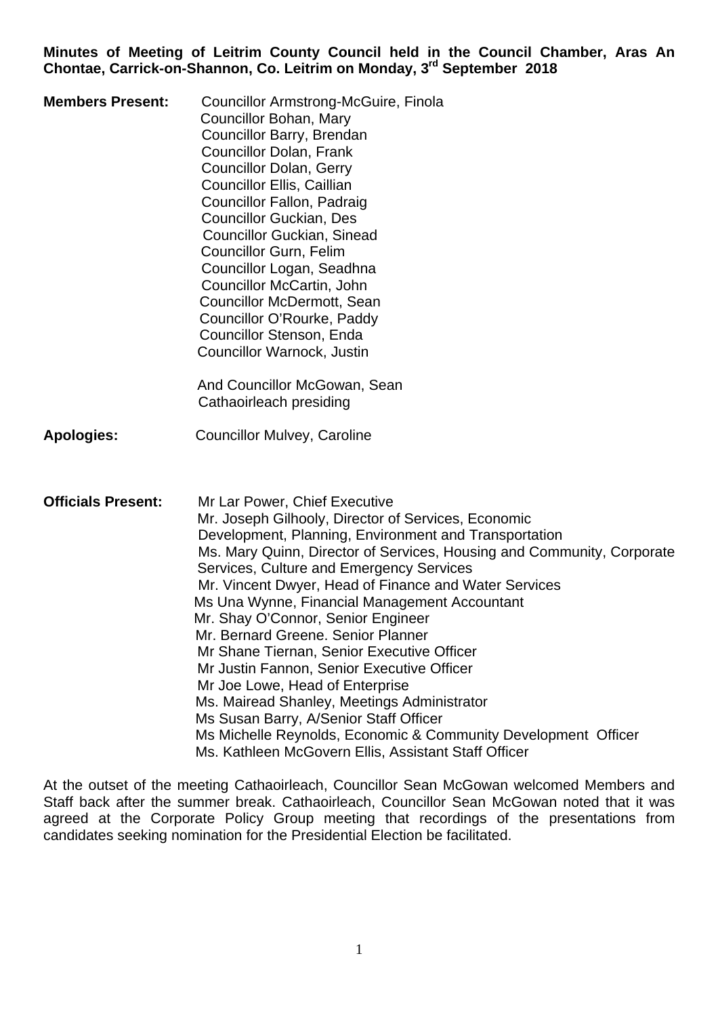**Minutes of Meeting of Leitrim County Council held in the Council Chamber, Aras An Chontae, Carrick-on-Shannon, Co. Leitrim on Monday, 3rd September 2018** 

| <b>Members Present:</b>   | <b>Councillor Armstrong-McGuire, Finola</b><br>Councillor Bohan, Mary<br>Councillor Barry, Brendan<br><b>Councillor Dolan, Frank</b><br><b>Councillor Dolan, Gerry</b><br><b>Councillor Ellis, Caillian</b><br>Councillor Fallon, Padraig<br><b>Councillor Guckian, Des</b><br><b>Councillor Guckian, Sinead</b><br><b>Councillor Gurn, Felim</b><br>Councillor Logan, Seadhna<br>Councillor McCartin, John<br><b>Councillor McDermott, Sean</b><br>Councillor O'Rourke, Paddy<br>Councillor Stenson, Enda<br>Councillor Warnock, Justin<br>And Councillor McGowan, Sean                                                                                                                                                                                                                                    |
|---------------------------|-------------------------------------------------------------------------------------------------------------------------------------------------------------------------------------------------------------------------------------------------------------------------------------------------------------------------------------------------------------------------------------------------------------------------------------------------------------------------------------------------------------------------------------------------------------------------------------------------------------------------------------------------------------------------------------------------------------------------------------------------------------------------------------------------------------|
|                           | Cathaoirleach presiding                                                                                                                                                                                                                                                                                                                                                                                                                                                                                                                                                                                                                                                                                                                                                                                     |
| <b>Apologies:</b>         | <b>Councillor Mulvey, Caroline</b>                                                                                                                                                                                                                                                                                                                                                                                                                                                                                                                                                                                                                                                                                                                                                                          |
| <b>Officials Present:</b> | Mr Lar Power, Chief Executive<br>Mr. Joseph Gilhooly, Director of Services, Economic<br>Development, Planning, Environment and Transportation<br>Ms. Mary Quinn, Director of Services, Housing and Community, Corporate<br>Services, Culture and Emergency Services<br>Mr. Vincent Dwyer, Head of Finance and Water Services<br>Ms Una Wynne, Financial Management Accountant<br>Mr. Shay O'Connor, Senior Engineer<br>Mr. Bernard Greene. Senior Planner<br>Mr Shane Tiernan, Senior Executive Officer<br>Mr Justin Fannon, Senior Executive Officer<br>Mr Joe Lowe, Head of Enterprise<br>Ms. Mairead Shanley, Meetings Administrator<br>Ms Susan Barry, A/Senior Staff Officer<br>Ms Michelle Reynolds, Economic & Community Development Officer<br>Ms. Kathleen McGovern Ellis, Assistant Staff Officer |

At the outset of the meeting Cathaoirleach, Councillor Sean McGowan welcomed Members and Staff back after the summer break. Cathaoirleach, Councillor Sean McGowan noted that it was agreed at the Corporate Policy Group meeting that recordings of the presentations from candidates seeking nomination for the Presidential Election be facilitated.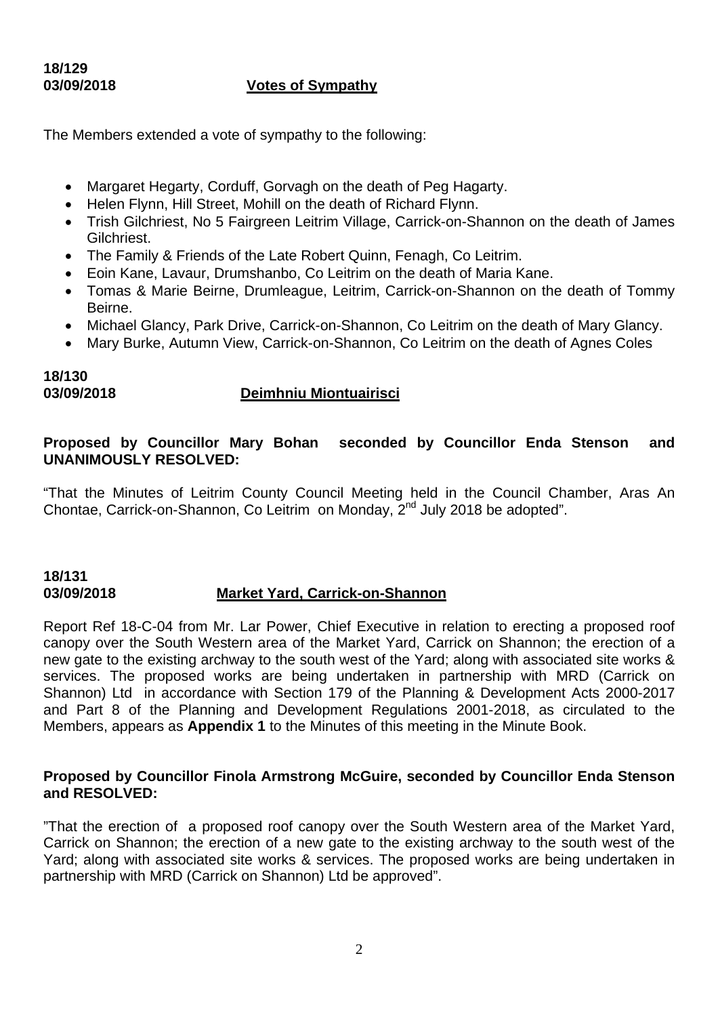# **18/129**

## **03/09/2018 Votes of Sympathy**

The Members extended a vote of sympathy to the following:

- Margaret Hegarty, Corduff, Gorvagh on the death of Peg Hagarty.
- Helen Flynn, Hill Street, Mohill on the death of Richard Flynn.
- Trish Gilchriest, No 5 Fairgreen Leitrim Village, Carrick-on-Shannon on the death of James Gilchriest.
- The Family & Friends of the Late Robert Quinn, Fenagh, Co Leitrim.
- Eoin Kane, Lavaur, Drumshanbo, Co Leitrim on the death of Maria Kane.
- Tomas & Marie Beirne, Drumleague, Leitrim, Carrick-on-Shannon on the death of Tommy Beirne.
- Michael Glancy, Park Drive, Carrick-on-Shannon, Co Leitrim on the death of Mary Glancy.
- Mary Burke, Autumn View, Carrick-on-Shannon, Co Leitrim on the death of Agnes Coles

## **18/130**

## **03/09/2018 Deimhniu Miontuairisci**

## **Proposed by Councillor Mary Bohan seconded by Councillor Enda Stenson and UNANIMOUSLY RESOLVED:**

"That the Minutes of Leitrim County Council Meeting held in the Council Chamber, Aras An Chontae, Carrick-on-Shannon, Co Leitrim on Monday, 2nd July 2018 be adopted".

#### **18/131 03/09/2018 Market Yard, Carrick-on-Shannon**

Report Ref 18-C-04 from Mr. Lar Power, Chief Executive in relation to erecting a proposed roof canopy over the South Western area of the Market Yard, Carrick on Shannon; the erection of a new gate to the existing archway to the south west of the Yard; along with associated site works & services. The proposed works are being undertaken in partnership with MRD (Carrick on Shannon) Ltd in accordance with Section 179 of the Planning & Development Acts 2000-2017 and Part 8 of the Planning and Development Regulations 2001-2018, as circulated to the Members, appears as **Appendix 1** to the Minutes of this meeting in the Minute Book.

#### **Proposed by Councillor Finola Armstrong McGuire, seconded by Councillor Enda Stenson and RESOLVED:**

"That the erection of a proposed roof canopy over the South Western area of the Market Yard, Carrick on Shannon; the erection of a new gate to the existing archway to the south west of the Yard; along with associated site works & services. The proposed works are being undertaken in partnership with MRD (Carrick on Shannon) Ltd be approved".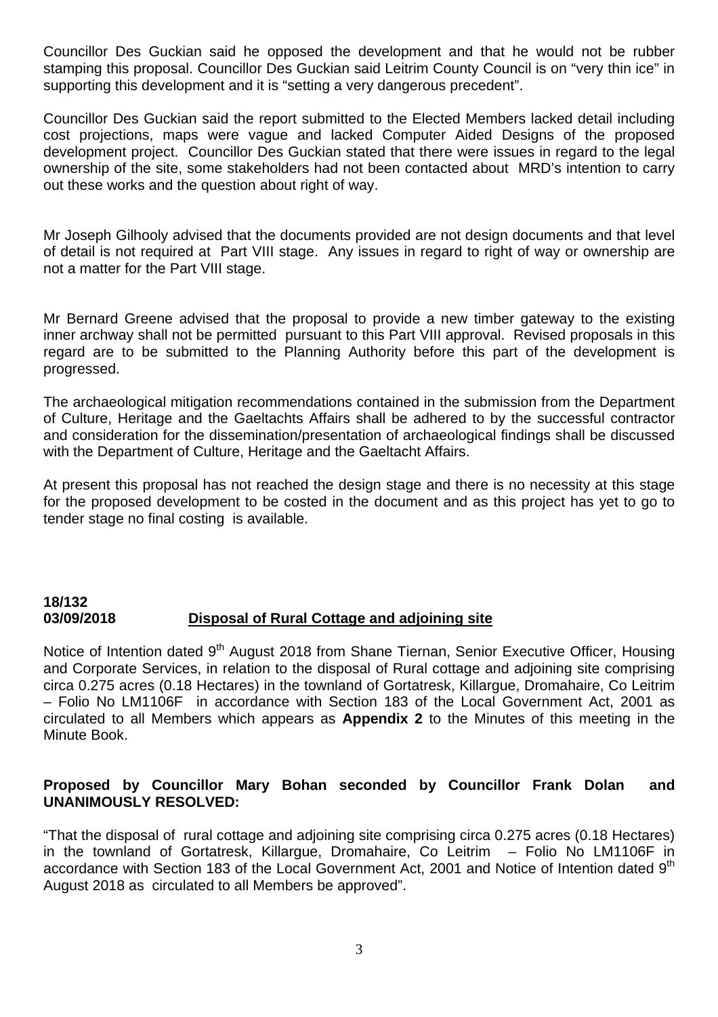Councillor Des Guckian said he opposed the development and that he would not be rubber stamping this proposal. Councillor Des Guckian said Leitrim County Council is on "very thin ice" in supporting this development and it is "setting a very dangerous precedent".

Councillor Des Guckian said the report submitted to the Elected Members lacked detail including cost projections, maps were vague and lacked Computer Aided Designs of the proposed development project. Councillor Des Guckian stated that there were issues in regard to the legal ownership of the site, some stakeholders had not been contacted about MRD's intention to carry out these works and the question about right of way.

Mr Joseph Gilhooly advised that the documents provided are not design documents and that level of detail is not required at Part VIII stage. Any issues in regard to right of way or ownership are not a matter for the Part VIII stage.

Mr Bernard Greene advised that the proposal to provide a new timber gateway to the existing inner archway shall not be permitted pursuant to this Part VIII approval. Revised proposals in this regard are to be submitted to the Planning Authority before this part of the development is progressed.

The archaeological mitigation recommendations contained in the submission from the Department of Culture, Heritage and the Gaeltachts Affairs shall be adhered to by the successful contractor and consideration for the dissemination/presentation of archaeological findings shall be discussed with the Department of Culture, Heritage and the Gaeltacht Affairs.

At present this proposal has not reached the design stage and there is no necessity at this stage for the proposed development to be costed in the document and as this project has yet to go to tender stage no final costing is available.

## **18/132 03/09/2018 Disposal of Rural Cottage and adjoining site**

Notice of Intention dated 9<sup>th</sup> August 2018 from Shane Tiernan, Senior Executive Officer, Housing and Corporate Services, in relation to the disposal of Rural cottage and adjoining site comprising circa 0.275 acres (0.18 Hectares) in the townland of Gortatresk, Killargue, Dromahaire, Co Leitrim – Folio No LM1106F in accordance with Section 183 of the Local Government Act, 2001 as circulated to all Members which appears as **Appendix 2** to the Minutes of this meeting in the Minute Book.

## **Proposed by Councillor Mary Bohan seconded by Councillor Frank Dolan and UNANIMOUSLY RESOLVED:**

"That the disposal of rural cottage and adjoining site comprising circa 0.275 acres (0.18 Hectares) in the townland of Gortatresk, Killargue, Dromahaire, Co Leitrim – Folio No LM1106F in accordance with Section 183 of the Local Government Act, 2001 and Notice of Intention dated 9<sup>th</sup> August 2018 as circulated to all Members be approved".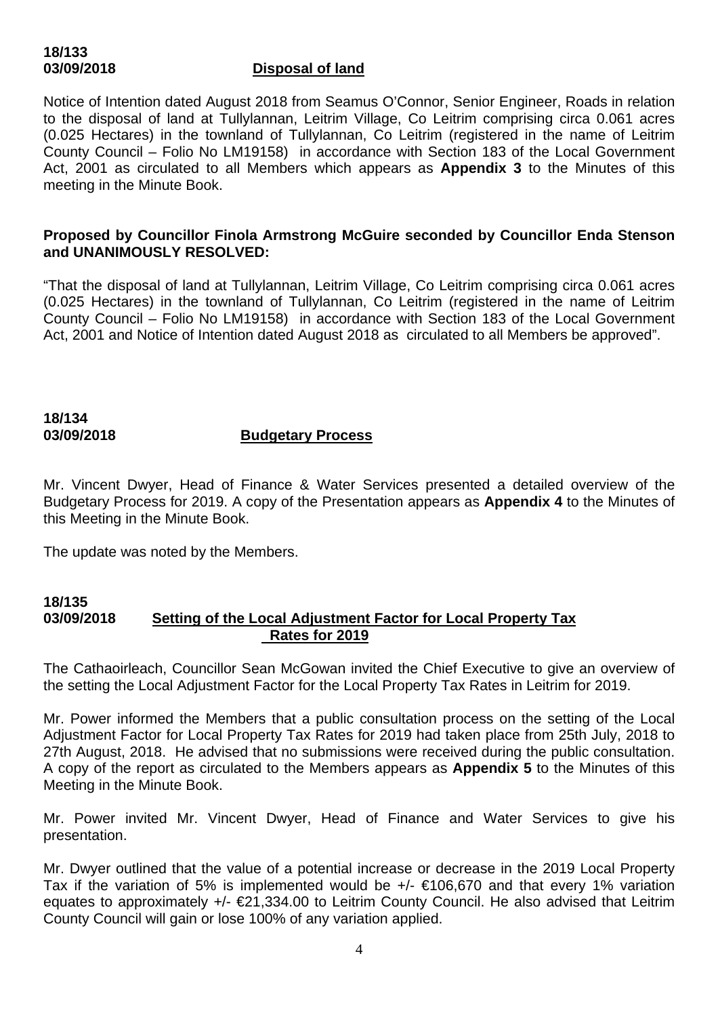# **18/133**

## **03/09/2018 Disposal of land**

Notice of Intention dated August 2018 from Seamus O'Connor, Senior Engineer, Roads in relation to the disposal of land at Tullylannan, Leitrim Village, Co Leitrim comprising circa 0.061 acres (0.025 Hectares) in the townland of Tullylannan, Co Leitrim (registered in the name of Leitrim County Council – Folio No LM19158) in accordance with Section 183 of the Local Government Act, 2001 as circulated to all Members which appears as **Appendix 3** to the Minutes of this meeting in the Minute Book.

#### **Proposed by Councillor Finola Armstrong McGuire seconded by Councillor Enda Stenson and UNANIMOUSLY RESOLVED:**

"That the disposal of land at Tullylannan, Leitrim Village, Co Leitrim comprising circa 0.061 acres (0.025 Hectares) in the townland of Tullylannan, Co Leitrim (registered in the name of Leitrim County Council – Folio No LM19158) in accordance with Section 183 of the Local Government Act, 2001 and Notice of Intention dated August 2018 as circulated to all Members be approved".

#### **18/134 03/09/2018 Budgetary Process**

Mr. Vincent Dwyer, Head of Finance & Water Services presented a detailed overview of the Budgetary Process for 2019. A copy of the Presentation appears as **Appendix 4** to the Minutes of this Meeting in the Minute Book.

The update was noted by the Members.

#### **18/135 03/09/2018 Setting of the Local Adjustment Factor for Local Property Tax Rates for 2019**

The Cathaoirleach, Councillor Sean McGowan invited the Chief Executive to give an overview of the setting the Local Adjustment Factor for the Local Property Tax Rates in Leitrim for 2019.

Mr. Power informed the Members that a public consultation process on the setting of the Local Adjustment Factor for Local Property Tax Rates for 2019 had taken place from 25th July, 2018 to 27th August, 2018. He advised that no submissions were received during the public consultation. A copy of the report as circulated to the Members appears as **Appendix 5** to the Minutes of this Meeting in the Minute Book.

Mr. Power invited Mr. Vincent Dwyer, Head of Finance and Water Services to give his presentation.

Mr. Dwyer outlined that the value of a potential increase or decrease in the 2019 Local Property Tax if the variation of 5% is implemented would be  $+/ \in$ 106,670 and that every 1% variation equates to approximately  $+/- \le 21,334.00$  to Leitrim County Council. He also advised that Leitrim County Council will gain or lose 100% of any variation applied.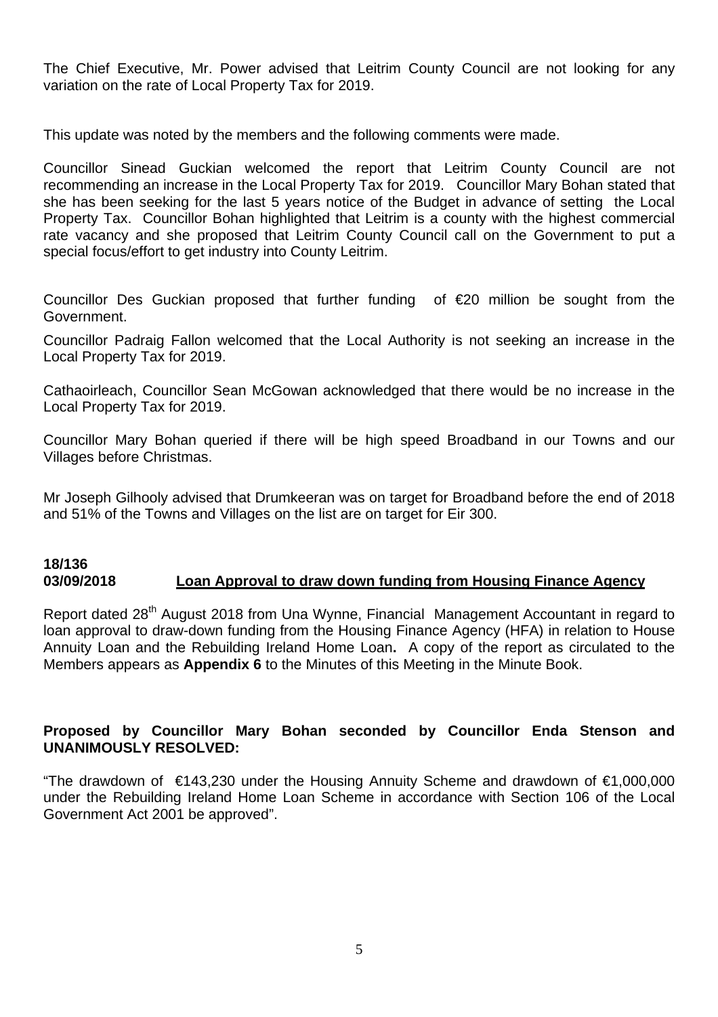The Chief Executive, Mr. Power advised that Leitrim County Council are not looking for any variation on the rate of Local Property Tax for 2019.

This update was noted by the members and the following comments were made.

Councillor Sinead Guckian welcomed the report that Leitrim County Council are not recommending an increase in the Local Property Tax for 2019. Councillor Mary Bohan stated that she has been seeking for the last 5 years notice of the Budget in advance of setting the Local Property Tax. Councillor Bohan highlighted that Leitrim is a county with the highest commercial rate vacancy and she proposed that Leitrim County Council call on the Government to put a special focus/effort to get industry into County Leitrim.

Councillor Des Guckian proposed that further funding of €20 million be sought from the Government.

Councillor Padraig Fallon welcomed that the Local Authority is not seeking an increase in the Local Property Tax for 2019.

Cathaoirleach, Councillor Sean McGowan acknowledged that there would be no increase in the Local Property Tax for 2019.

Councillor Mary Bohan queried if there will be high speed Broadband in our Towns and our Villages before Christmas.

Mr Joseph Gilhooly advised that Drumkeeran was on target for Broadband before the end of 2018 and 51% of the Towns and Villages on the list are on target for Eir 300.

#### **18/136 03/09/2018 Loan Approval to draw down funding from Housing Finance Agency**

Report dated 28<sup>th</sup> August 2018 from Una Wynne, Financial Management Accountant in regard to loan approval to draw-down funding from the Housing Finance Agency (HFA) in relation to House Annuity Loan and the Rebuilding Ireland Home Loan**.** A copy of the report as circulated to the Members appears as **Appendix 6** to the Minutes of this Meeting in the Minute Book.

## **Proposed by Councillor Mary Bohan seconded by Councillor Enda Stenson and UNANIMOUSLY RESOLVED:**

"The drawdown of €143,230 under the Housing Annuity Scheme and drawdown of €1,000,000 under the Rebuilding Ireland Home Loan Scheme in accordance with Section 106 of the Local Government Act 2001 be approved".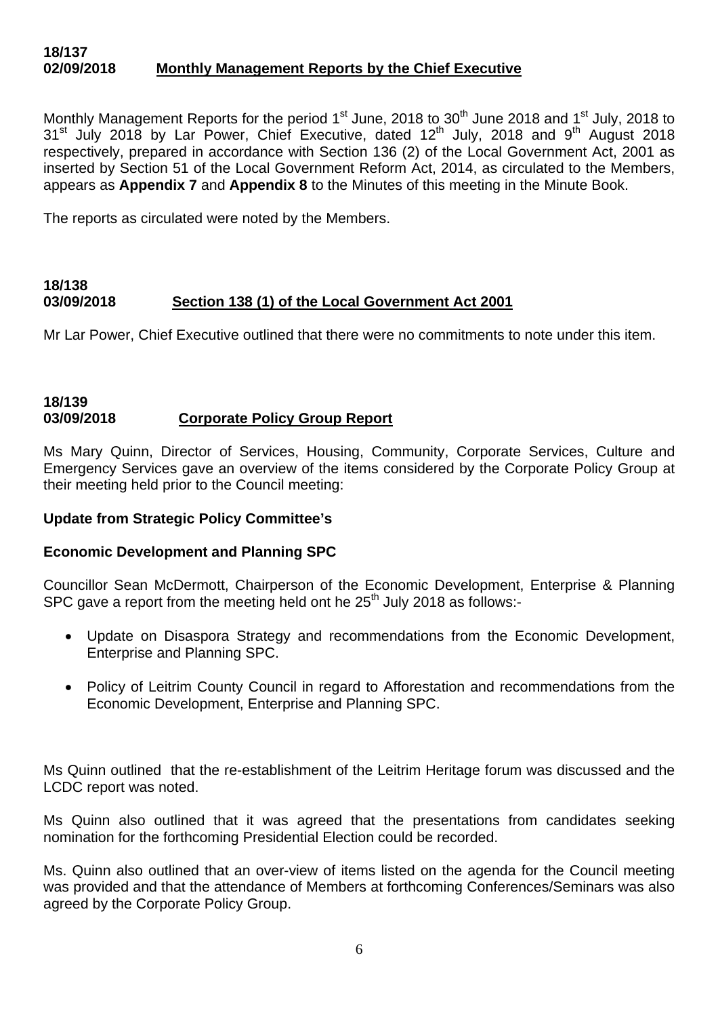#### **18/137 02/09/2018 Monthly Management Reports by the Chief Executive**

Monthly Management Reports for the period 1<sup>st</sup> June, 2018 to 30<sup>th</sup> June 2018 and 1<sup>st</sup> July, 2018 to  $31<sup>st</sup>$  July 2018 by Lar Power, Chief Executive, dated  $12<sup>th</sup>$  July, 2018 and 9<sup>th</sup> August 2018 respectively, prepared in accordance with Section 136 (2) of the Local Government Act, 2001 as inserted by Section 51 of the Local Government Reform Act, 2014, as circulated to the Members, appears as **Appendix 7** and **Appendix 8** to the Minutes of this meeting in the Minute Book.

The reports as circulated were noted by the Members.

#### **18/138 03/09/2018 Section 138 (1) of the Local Government Act 2001**

Mr Lar Power, Chief Executive outlined that there were no commitments to note under this item.

#### **18/139 03/09/2018 Corporate Policy Group Report**

Ms Mary Quinn, Director of Services, Housing, Community, Corporate Services, Culture and Emergency Services gave an overview of the items considered by the Corporate Policy Group at their meeting held prior to the Council meeting:

#### **Update from Strategic Policy Committee's**

#### **Economic Development and Planning SPC**

Councillor Sean McDermott, Chairperson of the Economic Development, Enterprise & Planning SPC gave a report from the meeting held ont he  $25<sup>th</sup>$  July 2018 as follows:-

- Update on Disaspora Strategy and recommendations from the Economic Development, Enterprise and Planning SPC.
- Policy of Leitrim County Council in regard to Afforestation and recommendations from the Economic Development, Enterprise and Planning SPC.

Ms Quinn outlined that the re-establishment of the Leitrim Heritage forum was discussed and the LCDC report was noted.

Ms Quinn also outlined that it was agreed that the presentations from candidates seeking nomination for the forthcoming Presidential Election could be recorded.

Ms. Quinn also outlined that an over-view of items listed on the agenda for the Council meeting was provided and that the attendance of Members at forthcoming Conferences/Seminars was also agreed by the Corporate Policy Group.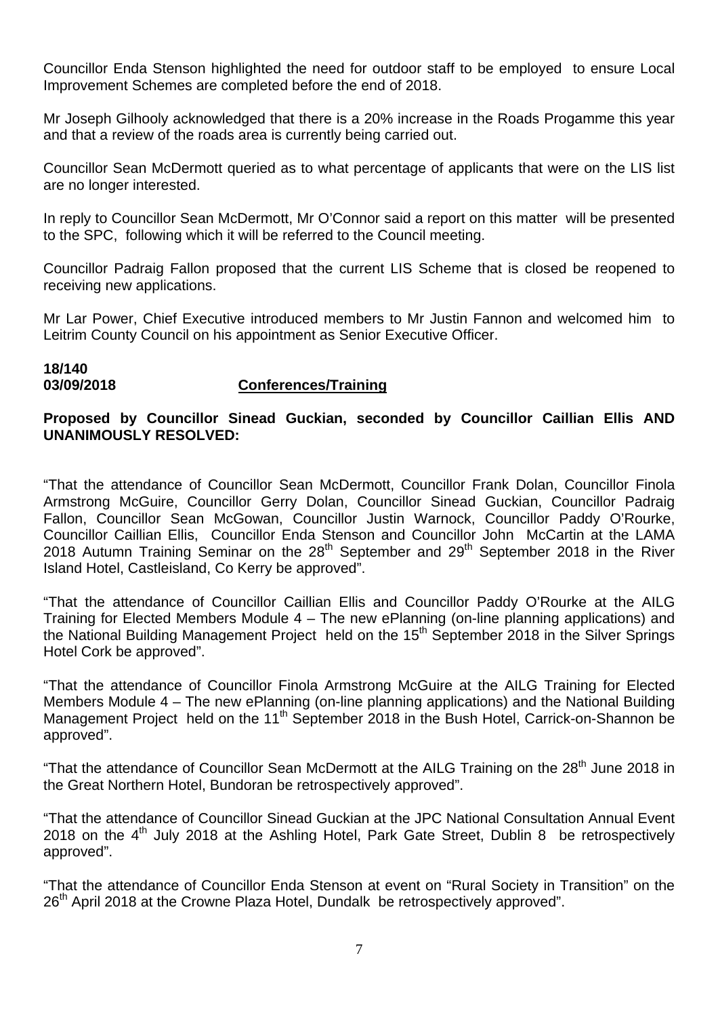Councillor Enda Stenson highlighted the need for outdoor staff to be employed to ensure Local Improvement Schemes are completed before the end of 2018.

Mr Joseph Gilhooly acknowledged that there is a 20% increase in the Roads Progamme this year and that a review of the roads area is currently being carried out.

Councillor Sean McDermott queried as to what percentage of applicants that were on the LIS list are no longer interested.

In reply to Councillor Sean McDermott, Mr O'Connor said a report on this matter will be presented to the SPC, following which it will be referred to the Council meeting.

Councillor Padraig Fallon proposed that the current LIS Scheme that is closed be reopened to receiving new applications.

Mr Lar Power, Chief Executive introduced members to Mr Justin Fannon and welcomed him to Leitrim County Council on his appointment as Senior Executive Officer.

## **18/140**

## **03/09/2018 Conferences/Training**

## **Proposed by Councillor Sinead Guckian, seconded by Councillor Caillian Ellis AND UNANIMOUSLY RESOLVED:**

"That the attendance of Councillor Sean McDermott, Councillor Frank Dolan, Councillor Finola Armstrong McGuire, Councillor Gerry Dolan, Councillor Sinead Guckian, Councillor Padraig Fallon, Councillor Sean McGowan, Councillor Justin Warnock, Councillor Paddy O'Rourke, Councillor Caillian Ellis, Councillor Enda Stenson and Councillor John McCartin at the LAMA 2018 Autumn Training Seminar on the  $28<sup>th</sup>$  September and  $29<sup>th</sup>$  September 2018 in the River Island Hotel, Castleisland, Co Kerry be approved".

"That the attendance of Councillor Caillian Ellis and Councillor Paddy O'Rourke at the AILG Training for Elected Members Module 4 – The new ePlanning (on-line planning applications) and the National Building Management Project held on the  $15<sup>th</sup>$  September 2018 in the Silver Springs Hotel Cork be approved".

"That the attendance of Councillor Finola Armstrong McGuire at the AILG Training for Elected Members Module 4 – The new ePlanning (on-line planning applications) and the National Building Management Project held on the 11<sup>th</sup> September 2018 in the Bush Hotel, Carrick-on-Shannon be approved".

"That the attendance of Councillor Sean McDermott at the AILG Training on the 28<sup>th</sup> June 2018 in the Great Northern Hotel, Bundoran be retrospectively approved".

"That the attendance of Councillor Sinead Guckian at the JPC National Consultation Annual Event 2018 on the  $4<sup>th</sup>$  July 2018 at the Ashling Hotel, Park Gate Street, Dublin 8 be retrospectively approved".

"That the attendance of Councillor Enda Stenson at event on "Rural Society in Transition" on the 26<sup>th</sup> April 2018 at the Crowne Plaza Hotel, Dundalk be retrospectively approved".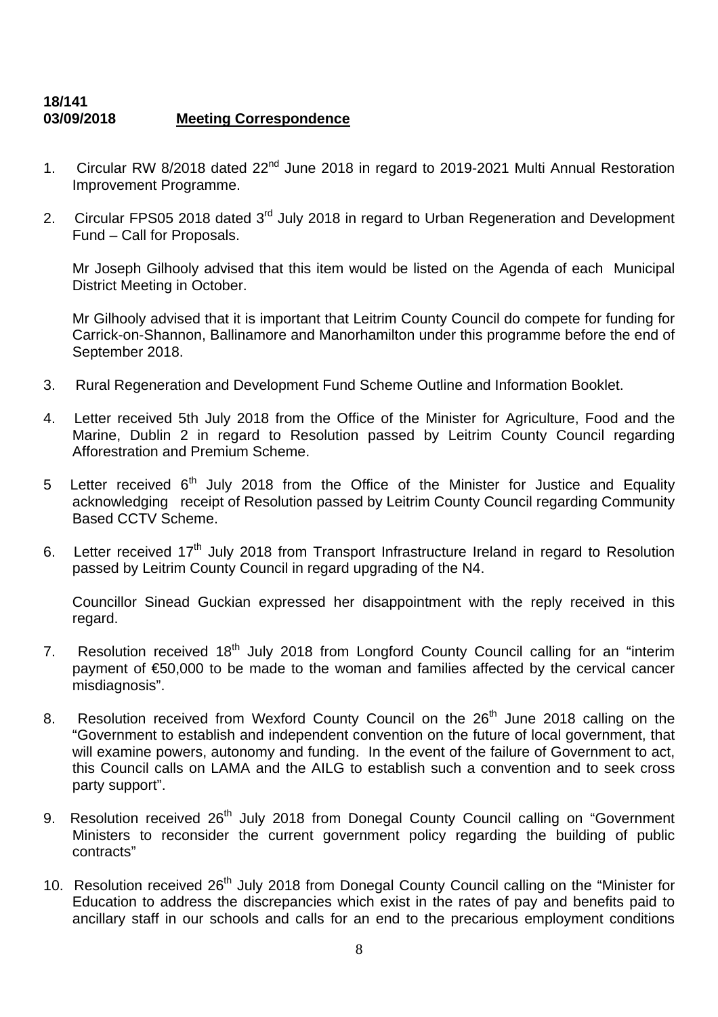## **18/141 03/09/2018 Meeting Correspondence**

- 1. Circular RW 8/2018 dated 22<sup>nd</sup> June 2018 in regard to 2019-2021 Multi Annual Restoration Improvement Programme.
- 2. Circular FPS05 2018 dated 3<sup>rd</sup> July 2018 in regard to Urban Regeneration and Development Fund – Call for Proposals.

Mr Joseph Gilhooly advised that this item would be listed on the Agenda of each Municipal District Meeting in October.

Mr Gilhooly advised that it is important that Leitrim County Council do compete for funding for Carrick-on-Shannon, Ballinamore and Manorhamilton under this programme before the end of September 2018.

- 3. Rural Regeneration and Development Fund Scheme Outline and Information Booklet.
- 4. Letter received 5th July 2018 from the Office of the Minister for Agriculture, Food and the Marine, Dublin 2 in regard to Resolution passed by Leitrim County Council regarding Afforestration and Premium Scheme.
- 5 Letter received  $6<sup>th</sup>$  July 2018 from the Office of the Minister for Justice and Equality acknowledging receipt of Resolution passed by Leitrim County Council regarding Community Based CCTV Scheme.
- 6. Letter received  $17<sup>th</sup>$  July 2018 from Transport Infrastructure Ireland in regard to Resolution passed by Leitrim County Council in regard upgrading of the N4.

Councillor Sinead Guckian expressed her disappointment with the reply received in this regard.

- 7. Resolution received 18<sup>th</sup> July 2018 from Longford County Council calling for an "interim payment of €50,000 to be made to the woman and families affected by the cervical cancer misdiagnosis".
- 8. Resolution received from Wexford County Council on the 26<sup>th</sup> June 2018 calling on the "Government to establish and independent convention on the future of local government, that will examine powers, autonomy and funding. In the event of the failure of Government to act, this Council calls on LAMA and the AILG to establish such a convention and to seek cross party support".
- 9. Resolution received 26<sup>th</sup> July 2018 from Donegal County Council calling on "Government Ministers to reconsider the current government policy regarding the building of public contracts"
- 10. Resolution received 26<sup>th</sup> July 2018 from Donegal County Council calling on the "Minister for Education to address the discrepancies which exist in the rates of pay and benefits paid to ancillary staff in our schools and calls for an end to the precarious employment conditions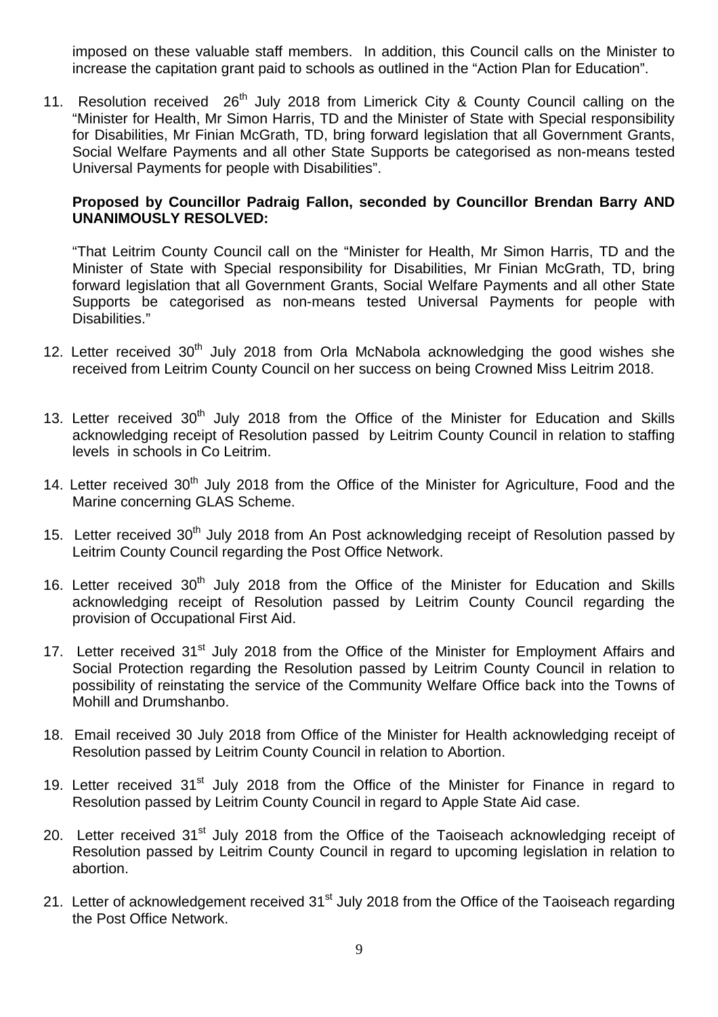imposed on these valuable staff members. In addition, this Council calls on the Minister to increase the capitation grant paid to schools as outlined in the "Action Plan for Education".

11. Resolution received 26<sup>th</sup> July 2018 from Limerick City & County Council calling on the "Minister for Health, Mr Simon Harris, TD and the Minister of State with Special responsibility for Disabilities, Mr Finian McGrath, TD, bring forward legislation that all Government Grants, Social Welfare Payments and all other State Supports be categorised as non-means tested Universal Payments for people with Disabilities".

#### **Proposed by Councillor Padraig Fallon, seconded by Councillor Brendan Barry AND UNANIMOUSLY RESOLVED:**

"That Leitrim County Council call on the "Minister for Health, Mr Simon Harris, TD and the Minister of State with Special responsibility for Disabilities, Mr Finian McGrath, TD, bring forward legislation that all Government Grants, Social Welfare Payments and all other State Supports be categorised as non-means tested Universal Payments for people with Disabilities."

- 12. Letter received  $30<sup>th</sup>$  July 2018 from Orla McNabola acknowledging the good wishes she received from Leitrim County Council on her success on being Crowned Miss Leitrim 2018.
- 13. Letter received  $30<sup>th</sup>$  July 2018 from the Office of the Minister for Education and Skills acknowledging receipt of Resolution passed by Leitrim County Council in relation to staffing levels in schools in Co Leitrim.
- 14. Letter received 30<sup>th</sup> July 2018 from the Office of the Minister for Agriculture, Food and the Marine concerning GLAS Scheme.
- 15. Letter received 30<sup>th</sup> July 2018 from An Post acknowledging receipt of Resolution passed by Leitrim County Council regarding the Post Office Network.
- 16. Letter received 30<sup>th</sup> July 2018 from the Office of the Minister for Education and Skills acknowledging receipt of Resolution passed by Leitrim County Council regarding the provision of Occupational First Aid.
- 17. Letter received 31<sup>st</sup> July 2018 from the Office of the Minister for Employment Affairs and Social Protection regarding the Resolution passed by Leitrim County Council in relation to possibility of reinstating the service of the Community Welfare Office back into the Towns of Mohill and Drumshanbo.
- 18. Email received 30 July 2018 from Office of the Minister for Health acknowledging receipt of Resolution passed by Leitrim County Council in relation to Abortion.
- 19. Letter received  $31<sup>st</sup>$  July 2018 from the Office of the Minister for Finance in regard to Resolution passed by Leitrim County Council in regard to Apple State Aid case.
- 20. Letter received 31<sup>st</sup> July 2018 from the Office of the Taoiseach acknowledging receipt of Resolution passed by Leitrim County Council in regard to upcoming legislation in relation to abortion.
- 21. Letter of acknowledgement received 31<sup>st</sup> July 2018 from the Office of the Taoiseach regarding the Post Office Network.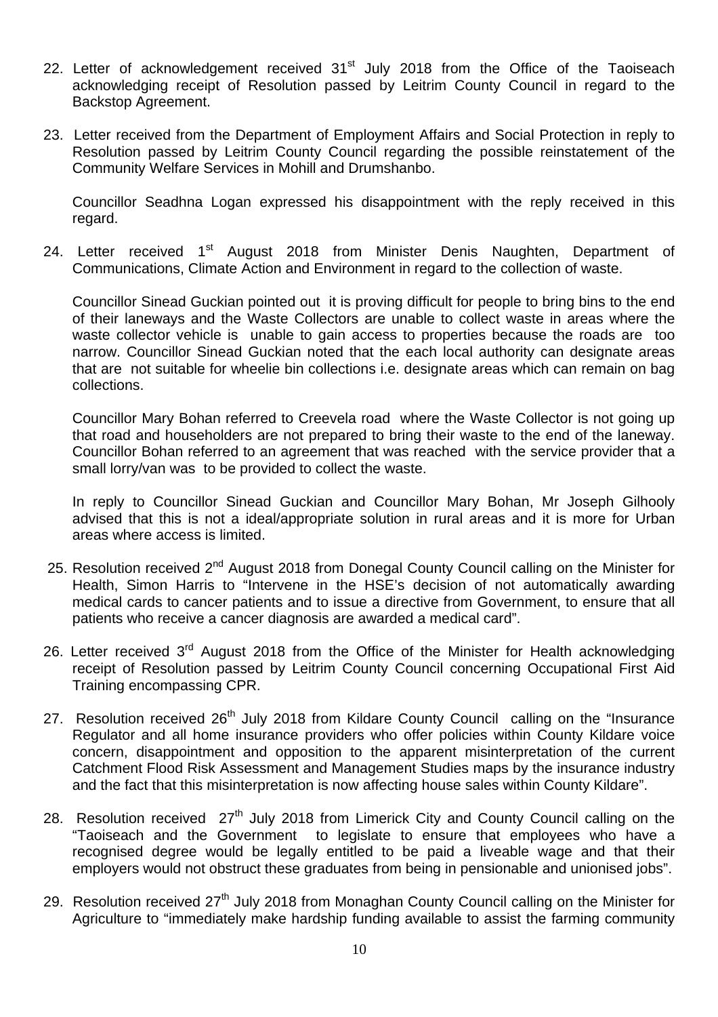- 22. Letter of acknowledgement received 31<sup>st</sup> July 2018 from the Office of the Taoiseach acknowledging receipt of Resolution passed by Leitrim County Council in regard to the Backstop Agreement.
- 23. Letter received from the Department of Employment Affairs and Social Protection in reply to Resolution passed by Leitrim County Council regarding the possible reinstatement of the Community Welfare Services in Mohill and Drumshanbo.

Councillor Seadhna Logan expressed his disappointment with the reply received in this regard.

24. Letter received 1<sup>st</sup> August 2018 from Minister Denis Naughten, Department of Communications, Climate Action and Environment in regard to the collection of waste.

Councillor Sinead Guckian pointed out it is proving difficult for people to bring bins to the end of their laneways and the Waste Collectors are unable to collect waste in areas where the waste collector vehicle is unable to gain access to properties because the roads are too narrow. Councillor Sinead Guckian noted that the each local authority can designate areas that are not suitable for wheelie bin collections i.e. designate areas which can remain on bag collections.

Councillor Mary Bohan referred to Creevela road where the Waste Collector is not going up that road and householders are not prepared to bring their waste to the end of the laneway. Councillor Bohan referred to an agreement that was reached with the service provider that a small lorry/van was to be provided to collect the waste.

In reply to Councillor Sinead Guckian and Councillor Mary Bohan, Mr Joseph Gilhooly advised that this is not a ideal/appropriate solution in rural areas and it is more for Urban areas where access is limited.

- 25. Resolution received 2<sup>nd</sup> August 2018 from Donegal County Council calling on the Minister for Health, Simon Harris to "Intervene in the HSE's decision of not automatically awarding medical cards to cancer patients and to issue a directive from Government, to ensure that all patients who receive a cancer diagnosis are awarded a medical card".
- 26. Letter received  $3<sup>rd</sup>$  August 2018 from the Office of the Minister for Health acknowledging receipt of Resolution passed by Leitrim County Council concerning Occupational First Aid Training encompassing CPR.
- 27. Resolution received 26<sup>th</sup> July 2018 from Kildare County Council calling on the "Insurance Regulator and all home insurance providers who offer policies within County Kildare voice concern, disappointment and opposition to the apparent misinterpretation of the current Catchment Flood Risk Assessment and Management Studies maps by the insurance industry and the fact that this misinterpretation is now affecting house sales within County Kildare".
- 28. Resolution received 27<sup>th</sup> July 2018 from Limerick City and County Council calling on the "Taoiseach and the Government to legislate to ensure that employees who have a recognised degree would be legally entitled to be paid a liveable wage and that their employers would not obstruct these graduates from being in pensionable and unionised jobs".
- 29. Resolution received 27<sup>th</sup> July 2018 from Monaghan County Council calling on the Minister for Agriculture to "immediately make hardship funding available to assist the farming community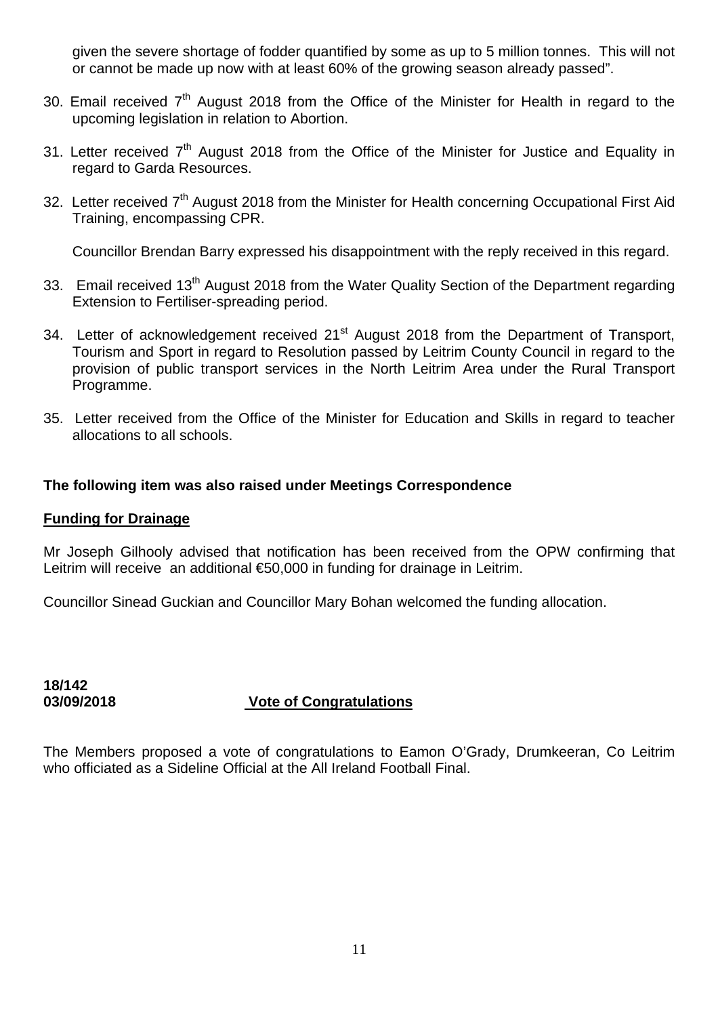given the severe shortage of fodder quantified by some as up to 5 million tonnes. This will not or cannot be made up now with at least 60% of the growing season already passed".

- 30. Email received  $7<sup>th</sup>$  August 2018 from the Office of the Minister for Health in regard to the upcoming legislation in relation to Abortion.
- 31. Letter received  $7<sup>th</sup>$  August 2018 from the Office of the Minister for Justice and Equality in regard to Garda Resources.
- 32. Letter received 7<sup>th</sup> August 2018 from the Minister for Health concerning Occupational First Aid Training, encompassing CPR.

Councillor Brendan Barry expressed his disappointment with the reply received in this regard.

- 33. Email received 13<sup>th</sup> August 2018 from the Water Quality Section of the Department regarding Extension to Fertiliser-spreading period.
- 34. Letter of acknowledgement received 21<sup>st</sup> August 2018 from the Department of Transport, Tourism and Sport in regard to Resolution passed by Leitrim County Council in regard to the provision of public transport services in the North Leitrim Area under the Rural Transport Programme.
- 35. Letter received from the Office of the Minister for Education and Skills in regard to teacher allocations to all schools.

#### **The following item was also raised under Meetings Correspondence**

#### **Funding for Drainage**

Mr Joseph Gilhooly advised that notification has been received from the OPW confirming that Leitrim will receive an additional €50,000 in funding for drainage in Leitrim.

Councillor Sinead Guckian and Councillor Mary Bohan welcomed the funding allocation.

## **18/142 03/09/2018 Vote of Congratulations**

The Members proposed a vote of congratulations to Eamon O'Grady, Drumkeeran, Co Leitrim who officiated as a Sideline Official at the All Ireland Football Final.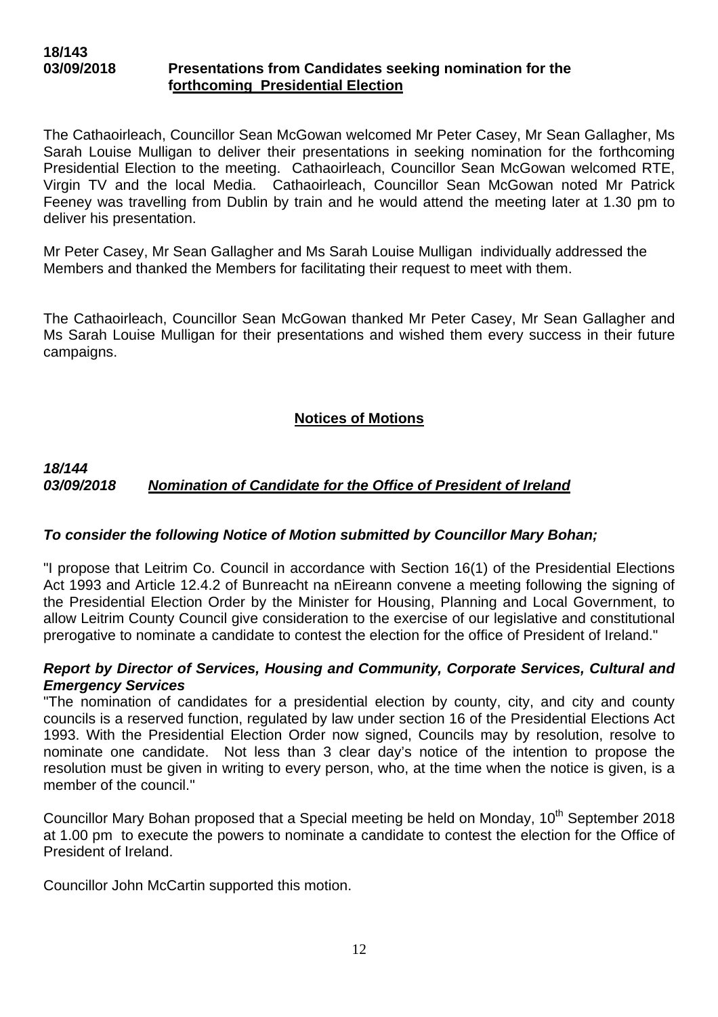The Cathaoirleach, Councillor Sean McGowan welcomed Mr Peter Casey, Mr Sean Gallagher, Ms Sarah Louise Mulligan to deliver their presentations in seeking nomination for the forthcoming Presidential Election to the meeting. Cathaoirleach, Councillor Sean McGowan welcomed RTE, Virgin TV and the local Media. Cathaoirleach, Councillor Sean McGowan noted Mr Patrick Feeney was travelling from Dublin by train and he would attend the meeting later at 1.30 pm to deliver his presentation.

Mr Peter Casey, Mr Sean Gallagher and Ms Sarah Louise Mulligan individually addressed the Members and thanked the Members for facilitating their request to meet with them.

The Cathaoirleach, Councillor Sean McGowan thanked Mr Peter Casey, Mr Sean Gallagher and Ms Sarah Louise Mulligan for their presentations and wished them every success in their future campaigns.

## **Notices of Motions**

#### *18/144 03/09/2018 Nomination of Candidate for the Office of President of Ireland*

#### *To consider the following Notice of Motion submitted by Councillor Mary Bohan;*

"I propose that Leitrim Co. Council in accordance with Section 16(1) of the Presidential Elections Act 1993 and Article 12.4.2 of Bunreacht na nEireann convene a meeting following the signing of the Presidential Election Order by the Minister for Housing, Planning and Local Government, to allow Leitrim County Council give consideration to the exercise of our legislative and constitutional prerogative to nominate a candidate to contest the election for the office of President of Ireland."

#### *Report by Director of Services, Housing and Community, Corporate Services, Cultural and Emergency Services*

"The nomination of candidates for a presidential election by county, city, and city and county councils is a reserved function, regulated by law under section 16 of the Presidential Elections Act 1993. With the Presidential Election Order now signed, Councils may by resolution, resolve to nominate one candidate. Not less than 3 clear day's notice of the intention to propose the resolution must be given in writing to every person, who, at the time when the notice is given, is a member of the council."

Councillor Mary Bohan proposed that a Special meeting be held on Monday, 10<sup>th</sup> September 2018 at 1.00 pm to execute the powers to nominate a candidate to contest the election for the Office of President of Ireland.

Councillor John McCartin supported this motion.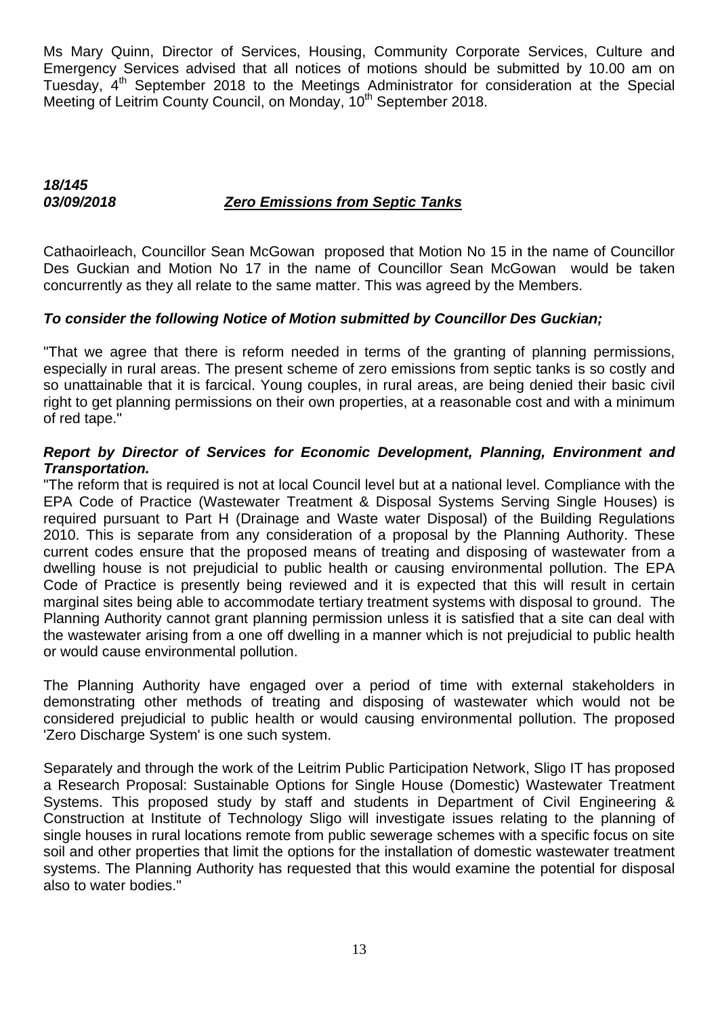Ms Mary Quinn, Director of Services, Housing, Community Corporate Services, Culture and Emergency Services advised that all notices of motions should be submitted by 10.00 am on Tuesday, 4<sup>th</sup> September 2018 to the Meetings Administrator for consideration at the Special Meeting of Leitrim County Council, on Monday, 10<sup>th</sup> September 2018.

## *18/145 03/09/2018 Zero Emissions from Septic Tanks*

Cathaoirleach, Councillor Sean McGowan proposed that Motion No 15 in the name of Councillor Des Guckian and Motion No 17 in the name of Councillor Sean McGowan would be taken concurrently as they all relate to the same matter. This was agreed by the Members.

## *To consider the following Notice of Motion submitted by Councillor Des Guckian;*

"That we agree that there is reform needed in terms of the granting of planning permissions, especially in rural areas. The present scheme of zero emissions from septic tanks is so costly and so unattainable that it is farcical. Young couples, in rural areas, are being denied their basic civil right to get planning permissions on their own properties, at a reasonable cost and with a minimum of red tape."

#### *Report by Director of Services for Economic Development, Planning, Environment and Transportation.*

"The reform that is required is not at local Council level but at a national level. Compliance with the EPA Code of Practice (Wastewater Treatment & Disposal Systems Serving Single Houses) is required pursuant to Part H (Drainage and Waste water Disposal) of the Building Regulations 2010. This is separate from any consideration of a proposal by the Planning Authority. These current codes ensure that the proposed means of treating and disposing of wastewater from a dwelling house is not prejudicial to public health or causing environmental pollution. The EPA Code of Practice is presently being reviewed and it is expected that this will result in certain marginal sites being able to accommodate tertiary treatment systems with disposal to ground. The Planning Authority cannot grant planning permission unless it is satisfied that a site can deal with the wastewater arising from a one off dwelling in a manner which is not prejudicial to public health or would cause environmental pollution.

The Planning Authority have engaged over a period of time with external stakeholders in demonstrating other methods of treating and disposing of wastewater which would not be considered prejudicial to public health or would causing environmental pollution. The proposed 'Zero Discharge System' is one such system.

Separately and through the work of the Leitrim Public Participation Network, Sligo IT has proposed a Research Proposal: Sustainable Options for Single House (Domestic) Wastewater Treatment Systems. This proposed study by staff and students in Department of Civil Engineering & Construction at Institute of Technology Sligo will investigate issues relating to the planning of single houses in rural locations remote from public sewerage schemes with a specific focus on site soil and other properties that limit the options for the installation of domestic wastewater treatment systems. The Planning Authority has requested that this would examine the potential for disposal also to water bodies."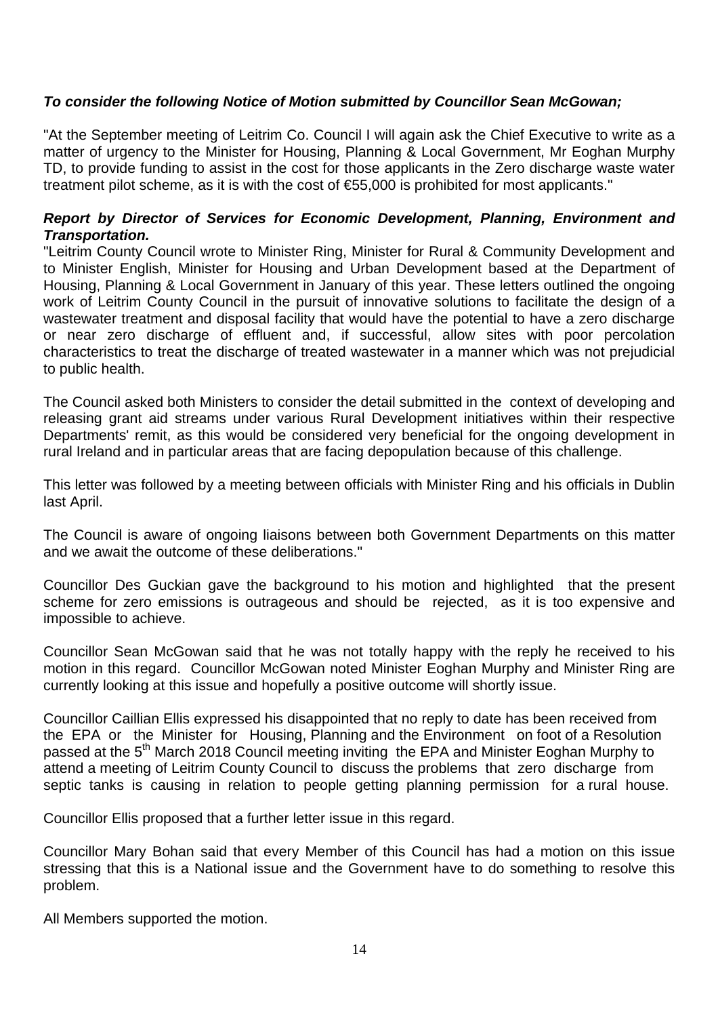## *To consider the following Notice of Motion submitted by Councillor Sean McGowan;*

"At the September meeting of Leitrim Co. Council I will again ask the Chief Executive to write as a matter of urgency to the Minister for Housing, Planning & Local Government, Mr Eoghan Murphy TD, to provide funding to assist in the cost for those applicants in the Zero discharge waste water treatment pilot scheme, as it is with the cost of €55,000 is prohibited for most applicants."

#### *Report by Director of Services for Economic Development, Planning, Environment and Transportation.*

"Leitrim County Council wrote to Minister Ring, Minister for Rural & Community Development and to Minister English, Minister for Housing and Urban Development based at the Department of Housing, Planning & Local Government in January of this year. These letters outlined the ongoing work of Leitrim County Council in the pursuit of innovative solutions to facilitate the design of a wastewater treatment and disposal facility that would have the potential to have a zero discharge or near zero discharge of effluent and, if successful, allow sites with poor percolation characteristics to treat the discharge of treated wastewater in a manner which was not prejudicial to public health.

The Council asked both Ministers to consider the detail submitted in the context of developing and releasing grant aid streams under various Rural Development initiatives within their respective Departments' remit, as this would be considered very beneficial for the ongoing development in rural Ireland and in particular areas that are facing depopulation because of this challenge.

This letter was followed by a meeting between officials with Minister Ring and his officials in Dublin last April.

The Council is aware of ongoing liaisons between both Government Departments on this matter and we await the outcome of these deliberations."

Councillor Des Guckian gave the background to his motion and highlighted that the present scheme for zero emissions is outrageous and should be rejected, as it is too expensive and impossible to achieve.

Councillor Sean McGowan said that he was not totally happy with the reply he received to his motion in this regard. Councillor McGowan noted Minister Eoghan Murphy and Minister Ring are currently looking at this issue and hopefully a positive outcome will shortly issue.

Councillor Caillian Ellis expressed his disappointed that no reply to date has been received from the EPA or the Minister for Housing, Planning and the Environment on foot of a Resolution passed at the 5<sup>th</sup> March 2018 Council meeting inviting the EPA and Minister Eoghan Murphy to attend a meeting of Leitrim County Council to discuss the problems that zero discharge from septic tanks is causing in relation to people getting planning permission for a rural house.

Councillor Ellis proposed that a further letter issue in this regard.

Councillor Mary Bohan said that every Member of this Council has had a motion on this issue stressing that this is a National issue and the Government have to do something to resolve this problem.

All Members supported the motion.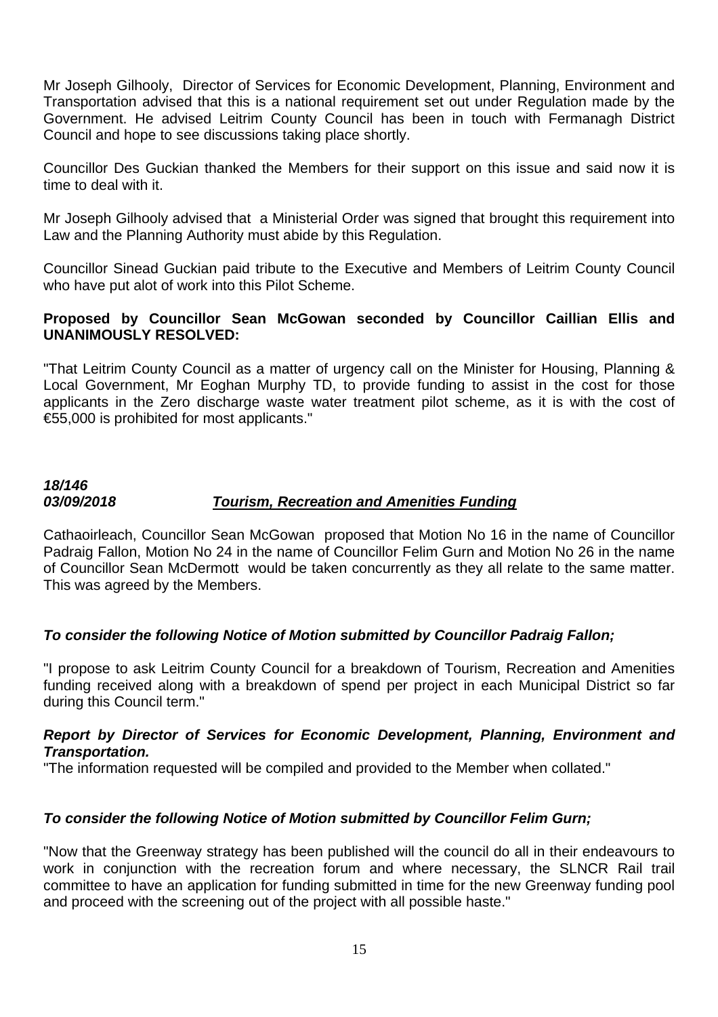Mr Joseph Gilhooly, Director of Services for Economic Development, Planning, Environment and Transportation advised that this is a national requirement set out under Regulation made by the Government. He advised Leitrim County Council has been in touch with Fermanagh District Council and hope to see discussions taking place shortly.

Councillor Des Guckian thanked the Members for their support on this issue and said now it is time to deal with it.

Mr Joseph Gilhooly advised that a Ministerial Order was signed that brought this requirement into Law and the Planning Authority must abide by this Regulation.

Councillor Sinead Guckian paid tribute to the Executive and Members of Leitrim County Council who have put alot of work into this Pilot Scheme.

#### **Proposed by Councillor Sean McGowan seconded by Councillor Caillian Ellis and UNANIMOUSLY RESOLVED:**

"That Leitrim County Council as a matter of urgency call on the Minister for Housing, Planning & Local Government, Mr Eoghan Murphy TD, to provide funding to assist in the cost for those applicants in the Zero discharge waste water treatment pilot scheme, as it is with the cost of €55,000 is prohibited for most applicants."

## *18/146 03/09/2018 Tourism, Recreation and Amenities Funding*

Cathaoirleach, Councillor Sean McGowan proposed that Motion No 16 in the name of Councillor Padraig Fallon, Motion No 24 in the name of Councillor Felim Gurn and Motion No 26 in the name of Councillor Sean McDermott would be taken concurrently as they all relate to the same matter. This was agreed by the Members.

## *To consider the following Notice of Motion submitted by Councillor Padraig Fallon;*

"I propose to ask Leitrim County Council for a breakdown of Tourism, Recreation and Amenities funding received along with a breakdown of spend per project in each Municipal District so far during this Council term."

## *Report by Director of Services for Economic Development, Planning, Environment and Transportation.*

"The information requested will be compiled and provided to the Member when collated."

## *To consider the following Notice of Motion submitted by Councillor Felim Gurn;*

"Now that the Greenway strategy has been published will the council do all in their endeavours to work in conjunction with the recreation forum and where necessary, the SLNCR Rail trail committee to have an application for funding submitted in time for the new Greenway funding pool and proceed with the screening out of the project with all possible haste."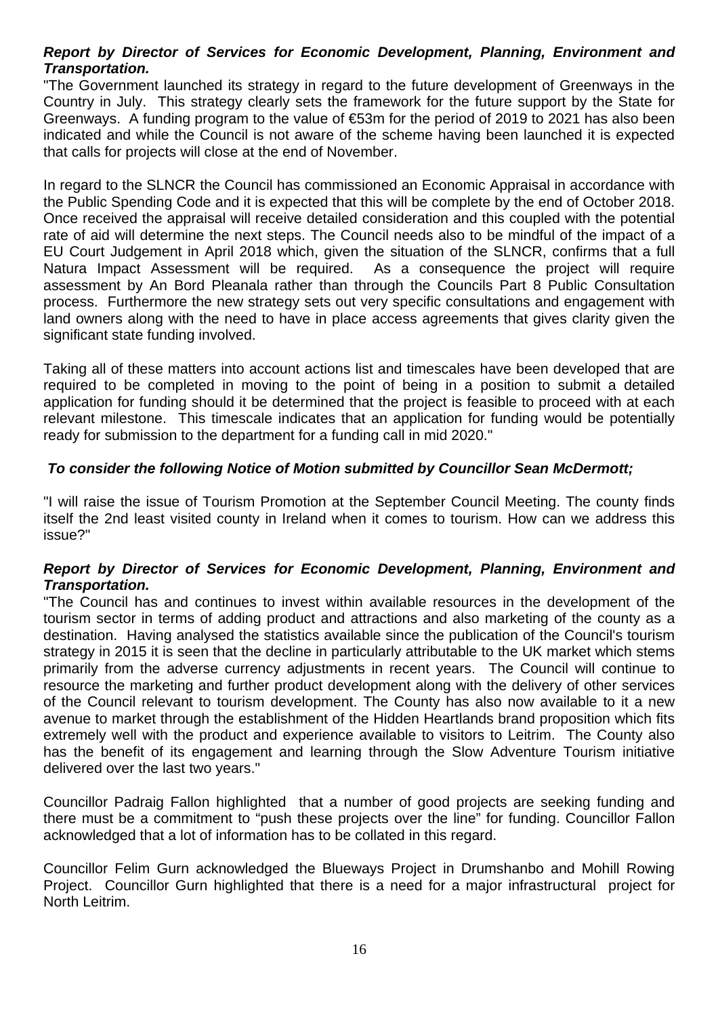## *Report by Director of Services for Economic Development, Planning, Environment and Transportation.*

"The Government launched its strategy in regard to the future development of Greenways in the Country in July. This strategy clearly sets the framework for the future support by the State for Greenways. A funding program to the value of €53m for the period of 2019 to 2021 has also been indicated and while the Council is not aware of the scheme having been launched it is expected that calls for projects will close at the end of November.

In regard to the SLNCR the Council has commissioned an Economic Appraisal in accordance with the Public Spending Code and it is expected that this will be complete by the end of October 2018. Once received the appraisal will receive detailed consideration and this coupled with the potential rate of aid will determine the next steps. The Council needs also to be mindful of the impact of a EU Court Judgement in April 2018 which, given the situation of the SLNCR, confirms that a full Natura Impact Assessment will be required. As a consequence the project will require assessment by An Bord Pleanala rather than through the Councils Part 8 Public Consultation process. Furthermore the new strategy sets out very specific consultations and engagement with land owners along with the need to have in place access agreements that gives clarity given the significant state funding involved.

Taking all of these matters into account actions list and timescales have been developed that are required to be completed in moving to the point of being in a position to submit a detailed application for funding should it be determined that the project is feasible to proceed with at each relevant milestone. This timescale indicates that an application for funding would be potentially ready for submission to the department for a funding call in mid 2020."

## *To consider the following Notice of Motion submitted by Councillor Sean McDermott;*

"I will raise the issue of Tourism Promotion at the September Council Meeting. The county finds itself the 2nd least visited county in Ireland when it comes to tourism. How can we address this issue?"

#### *Report by Director of Services for Economic Development, Planning, Environment and Transportation.*

"The Council has and continues to invest within available resources in the development of the tourism sector in terms of adding product and attractions and also marketing of the county as a destination. Having analysed the statistics available since the publication of the Council's tourism strategy in 2015 it is seen that the decline in particularly attributable to the UK market which stems primarily from the adverse currency adjustments in recent years. The Council will continue to resource the marketing and further product development along with the delivery of other services of the Council relevant to tourism development. The County has also now available to it a new avenue to market through the establishment of the Hidden Heartlands brand proposition which fits extremely well with the product and experience available to visitors to Leitrim. The County also has the benefit of its engagement and learning through the Slow Adventure Tourism initiative delivered over the last two years."

Councillor Padraig Fallon highlighted that a number of good projects are seeking funding and there must be a commitment to "push these projects over the line" for funding. Councillor Fallon acknowledged that a lot of information has to be collated in this regard.

Councillor Felim Gurn acknowledged the Blueways Project in Drumshanbo and Mohill Rowing Project. Councillor Gurn highlighted that there is a need for a major infrastructural project for North Leitrim.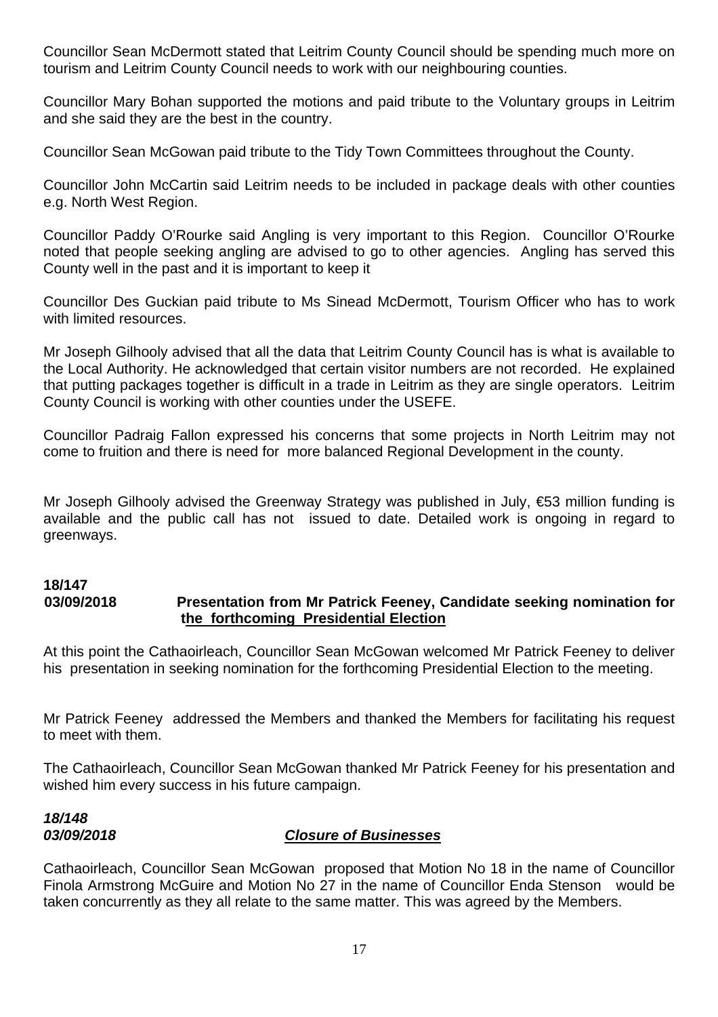Councillor Sean McDermott stated that Leitrim County Council should be spending much more on tourism and Leitrim County Council needs to work with our neighbouring counties.

Councillor Mary Bohan supported the motions and paid tribute to the Voluntary groups in Leitrim and she said they are the best in the country.

Councillor Sean McGowan paid tribute to the Tidy Town Committees throughout the County.

Councillor John McCartin said Leitrim needs to be included in package deals with other counties e.g. North West Region.

Councillor Paddy O'Rourke said Angling is very important to this Region. Councillor O'Rourke noted that people seeking angling are advised to go to other agencies. Angling has served this County well in the past and it is important to keep it

Councillor Des Guckian paid tribute to Ms Sinead McDermott, Tourism Officer who has to work with limited resources.

Mr Joseph Gilhooly advised that all the data that Leitrim County Council has is what is available to the Local Authority. He acknowledged that certain visitor numbers are not recorded. He explained that putting packages together is difficult in a trade in Leitrim as they are single operators. Leitrim County Council is working with other counties under the USEFE.

Councillor Padraig Fallon expressed his concerns that some projects in North Leitrim may not come to fruition and there is need for more balanced Regional Development in the county.

Mr Joseph Gilhooly advised the Greenway Strategy was published in July, €53 million funding is available and the public call has not issued to date. Detailed work is ongoing in regard to greenways.

#### **18/147 03/09/2018 Presentation from Mr Patrick Feeney, Candidate seeking nomination for the forthcoming Presidential Election**

At this point the Cathaoirleach, Councillor Sean McGowan welcomed Mr Patrick Feeney to deliver his presentation in seeking nomination for the forthcoming Presidential Election to the meeting.

Mr Patrick Feeney addressed the Members and thanked the Members for facilitating his request to meet with them.

The Cathaoirleach, Councillor Sean McGowan thanked Mr Patrick Feeney for his presentation and wished him every success in his future campaign.

# *18/148*

## *03/09/2018 Closure of Businesses*

Cathaoirleach, Councillor Sean McGowan proposed that Motion No 18 in the name of Councillor Finola Armstrong McGuire and Motion No 27 in the name of Councillor Enda Stenson would be taken concurrently as they all relate to the same matter. This was agreed by the Members.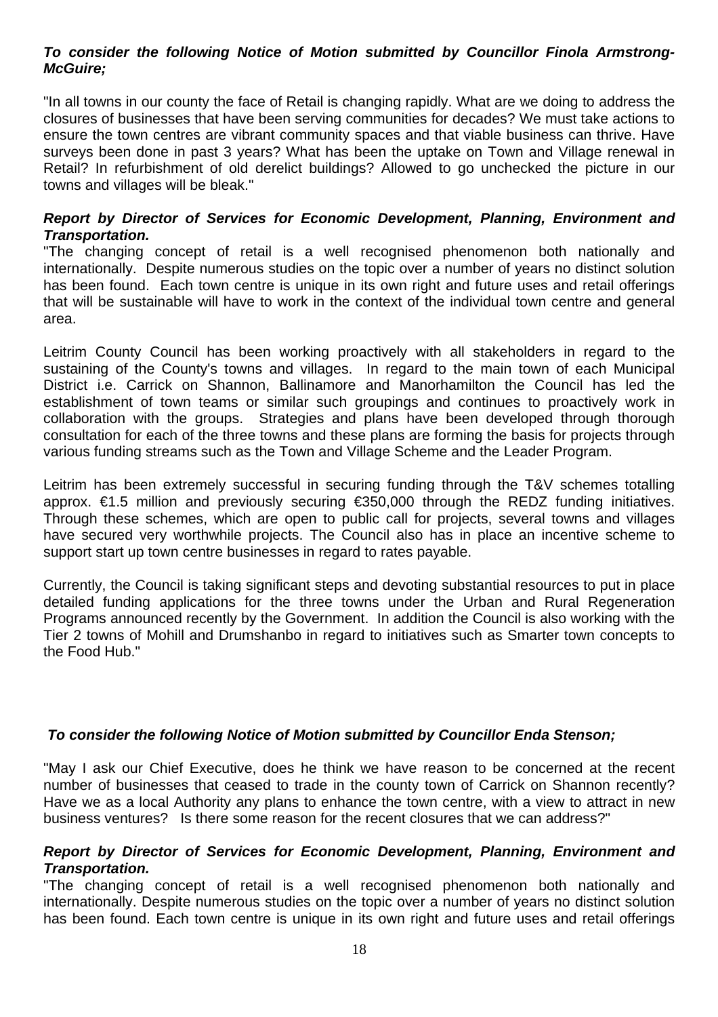#### *To consider the following Notice of Motion submitted by Councillor Finola Armstrong-McGuire;*

"In all towns in our county the face of Retail is changing rapidly. What are we doing to address the closures of businesses that have been serving communities for decades? We must take actions to ensure the town centres are vibrant community spaces and that viable business can thrive. Have surveys been done in past 3 years? What has been the uptake on Town and Village renewal in Retail? In refurbishment of old derelict buildings? Allowed to go unchecked the picture in our towns and villages will be bleak."

#### *Report by Director of Services for Economic Development, Planning, Environment and Transportation.*

"The changing concept of retail is a well recognised phenomenon both nationally and internationally. Despite numerous studies on the topic over a number of years no distinct solution has been found. Each town centre is unique in its own right and future uses and retail offerings that will be sustainable will have to work in the context of the individual town centre and general area.

Leitrim County Council has been working proactively with all stakeholders in regard to the sustaining of the County's towns and villages. In regard to the main town of each Municipal District i.e. Carrick on Shannon, Ballinamore and Manorhamilton the Council has led the establishment of town teams or similar such groupings and continues to proactively work in collaboration with the groups. Strategies and plans have been developed through thorough consultation for each of the three towns and these plans are forming the basis for projects through various funding streams such as the Town and Village Scheme and the Leader Program.

Leitrim has been extremely successful in securing funding through the T&V schemes totalling approx. €1.5 million and previously securing €350,000 through the REDZ funding initiatives. Through these schemes, which are open to public call for projects, several towns and villages have secured very worthwhile projects. The Council also has in place an incentive scheme to support start up town centre businesses in regard to rates payable.

Currently, the Council is taking significant steps and devoting substantial resources to put in place detailed funding applications for the three towns under the Urban and Rural Regeneration Programs announced recently by the Government. In addition the Council is also working with the Tier 2 towns of Mohill and Drumshanbo in regard to initiatives such as Smarter town concepts to the Food Hub."

#### *To consider the following Notice of Motion submitted by Councillor Enda Stenson;*

"May I ask our Chief Executive, does he think we have reason to be concerned at the recent number of businesses that ceased to trade in the county town of Carrick on Shannon recently? Have we as a local Authority any plans to enhance the town centre, with a view to attract in new business ventures? Is there some reason for the recent closures that we can address?"

#### *Report by Director of Services for Economic Development, Planning, Environment and Transportation.*

"The changing concept of retail is a well recognised phenomenon both nationally and internationally. Despite numerous studies on the topic over a number of years no distinct solution has been found. Each town centre is unique in its own right and future uses and retail offerings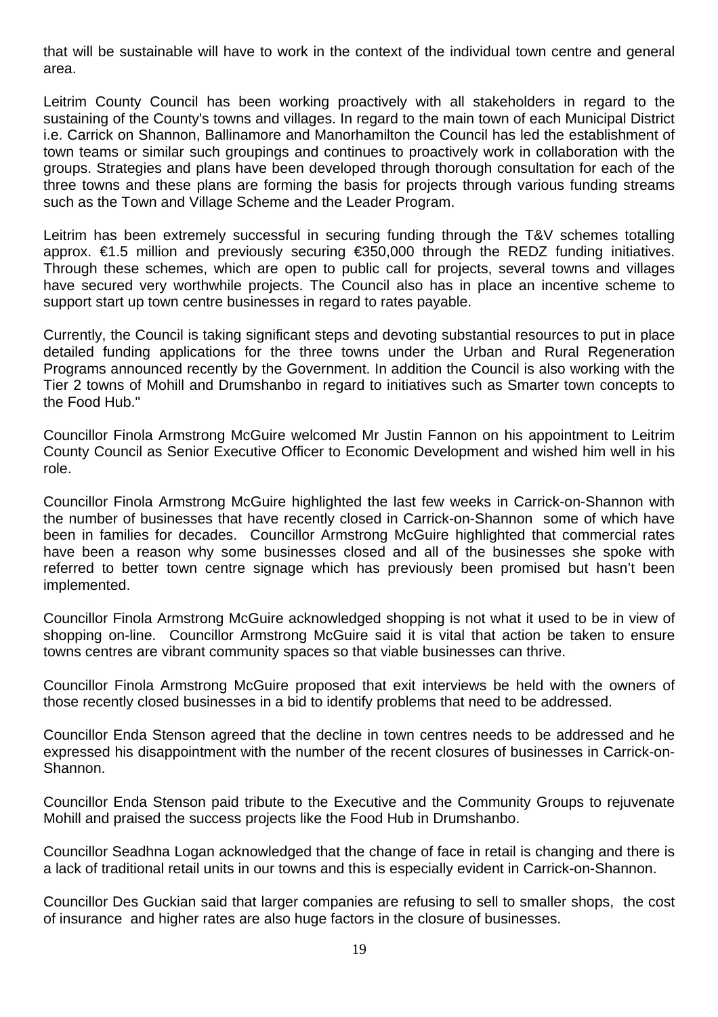that will be sustainable will have to work in the context of the individual town centre and general area.

Leitrim County Council has been working proactively with all stakeholders in regard to the sustaining of the County's towns and villages. In regard to the main town of each Municipal District i.e. Carrick on Shannon, Ballinamore and Manorhamilton the Council has led the establishment of town teams or similar such groupings and continues to proactively work in collaboration with the groups. Strategies and plans have been developed through thorough consultation for each of the three towns and these plans are forming the basis for projects through various funding streams such as the Town and Village Scheme and the Leader Program.

Leitrim has been extremely successful in securing funding through the T&V schemes totalling approx. €1.5 million and previously securing €350,000 through the REDZ funding initiatives. Through these schemes, which are open to public call for projects, several towns and villages have secured very worthwhile projects. The Council also has in place an incentive scheme to support start up town centre businesses in regard to rates payable.

Currently, the Council is taking significant steps and devoting substantial resources to put in place detailed funding applications for the three towns under the Urban and Rural Regeneration Programs announced recently by the Government. In addition the Council is also working with the Tier 2 towns of Mohill and Drumshanbo in regard to initiatives such as Smarter town concepts to the Food Hub."

Councillor Finola Armstrong McGuire welcomed Mr Justin Fannon on his appointment to Leitrim County Council as Senior Executive Officer to Economic Development and wished him well in his role.

Councillor Finola Armstrong McGuire highlighted the last few weeks in Carrick-on-Shannon with the number of businesses that have recently closed in Carrick-on-Shannon some of which have been in families for decades. Councillor Armstrong McGuire highlighted that commercial rates have been a reason why some businesses closed and all of the businesses she spoke with referred to better town centre signage which has previously been promised but hasn't been implemented.

Councillor Finola Armstrong McGuire acknowledged shopping is not what it used to be in view of shopping on-line. Councillor Armstrong McGuire said it is vital that action be taken to ensure towns centres are vibrant community spaces so that viable businesses can thrive.

Councillor Finola Armstrong McGuire proposed that exit interviews be held with the owners of those recently closed businesses in a bid to identify problems that need to be addressed.

Councillor Enda Stenson agreed that the decline in town centres needs to be addressed and he expressed his disappointment with the number of the recent closures of businesses in Carrick-on-Shannon.

Councillor Enda Stenson paid tribute to the Executive and the Community Groups to rejuvenate Mohill and praised the success projects like the Food Hub in Drumshanbo.

Councillor Seadhna Logan acknowledged that the change of face in retail is changing and there is a lack of traditional retail units in our towns and this is especially evident in Carrick-on-Shannon.

Councillor Des Guckian said that larger companies are refusing to sell to smaller shops, the cost of insurance and higher rates are also huge factors in the closure of businesses.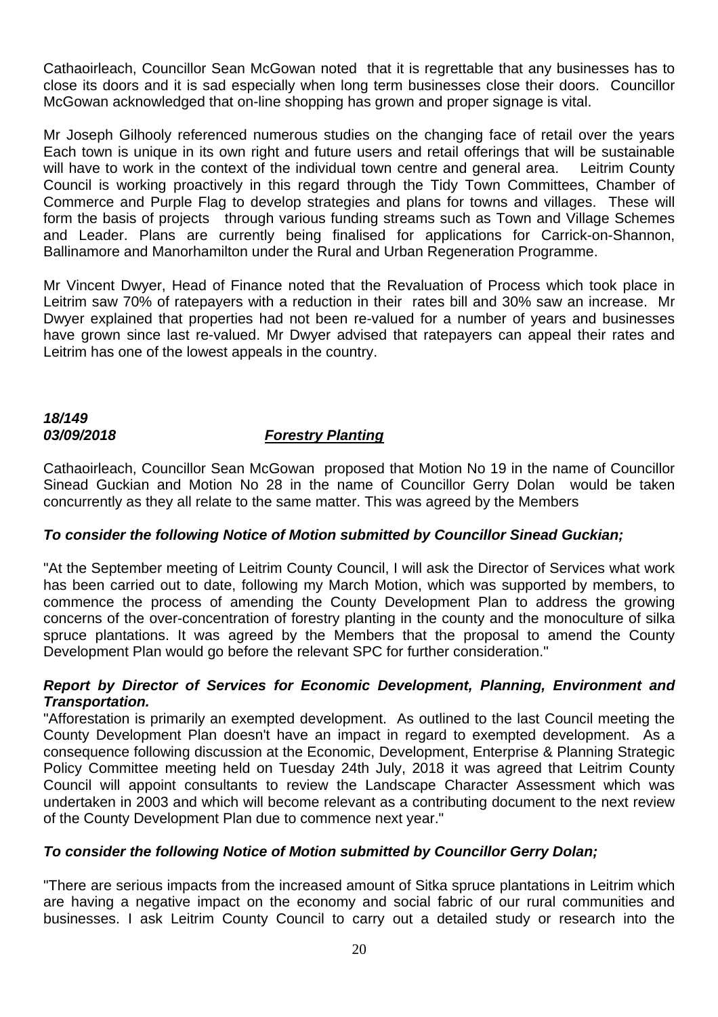Cathaoirleach, Councillor Sean McGowan noted that it is regrettable that any businesses has to close its doors and it is sad especially when long term businesses close their doors. Councillor McGowan acknowledged that on-line shopping has grown and proper signage is vital.

Mr Joseph Gilhooly referenced numerous studies on the changing face of retail over the years Each town is unique in its own right and future users and retail offerings that will be sustainable will have to work in the context of the individual town centre and general area. Leitrim County Council is working proactively in this regard through the Tidy Town Committees, Chamber of Commerce and Purple Flag to develop strategies and plans for towns and villages. These will form the basis of projects through various funding streams such as Town and Village Schemes and Leader. Plans are currently being finalised for applications for Carrick-on-Shannon, Ballinamore and Manorhamilton under the Rural and Urban Regeneration Programme.

Mr Vincent Dwyer, Head of Finance noted that the Revaluation of Process which took place in Leitrim saw 70% of ratepayers with a reduction in their rates bill and 30% saw an increase. Mr Dwyer explained that properties had not been re-valued for a number of years and businesses have grown since last re-valued. Mr Dwyer advised that ratepayers can appeal their rates and Leitrim has one of the lowest appeals in the country.

## *18/149*

## *03/09/2018 Forestry Planting*

Cathaoirleach, Councillor Sean McGowan proposed that Motion No 19 in the name of Councillor Sinead Guckian and Motion No 28 in the name of Councillor Gerry Dolan would be taken concurrently as they all relate to the same matter. This was agreed by the Members

## *To consider the following Notice of Motion submitted by Councillor Sinead Guckian;*

"At the September meeting of Leitrim County Council, I will ask the Director of Services what work has been carried out to date, following my March Motion, which was supported by members, to commence the process of amending the County Development Plan to address the growing concerns of the over-concentration of forestry planting in the county and the monoculture of silka spruce plantations. It was agreed by the Members that the proposal to amend the County Development Plan would go before the relevant SPC for further consideration."

#### *Report by Director of Services for Economic Development, Planning, Environment and Transportation.*

"Afforestation is primarily an exempted development. As outlined to the last Council meeting the County Development Plan doesn't have an impact in regard to exempted development. As a consequence following discussion at the Economic, Development, Enterprise & Planning Strategic Policy Committee meeting held on Tuesday 24th July, 2018 it was agreed that Leitrim County Council will appoint consultants to review the Landscape Character Assessment which was undertaken in 2003 and which will become relevant as a contributing document to the next review of the County Development Plan due to commence next year."

#### *To consider the following Notice of Motion submitted by Councillor Gerry Dolan;*

"There are serious impacts from the increased amount of Sitka spruce plantations in Leitrim which are having a negative impact on the economy and social fabric of our rural communities and businesses. I ask Leitrim County Council to carry out a detailed study or research into the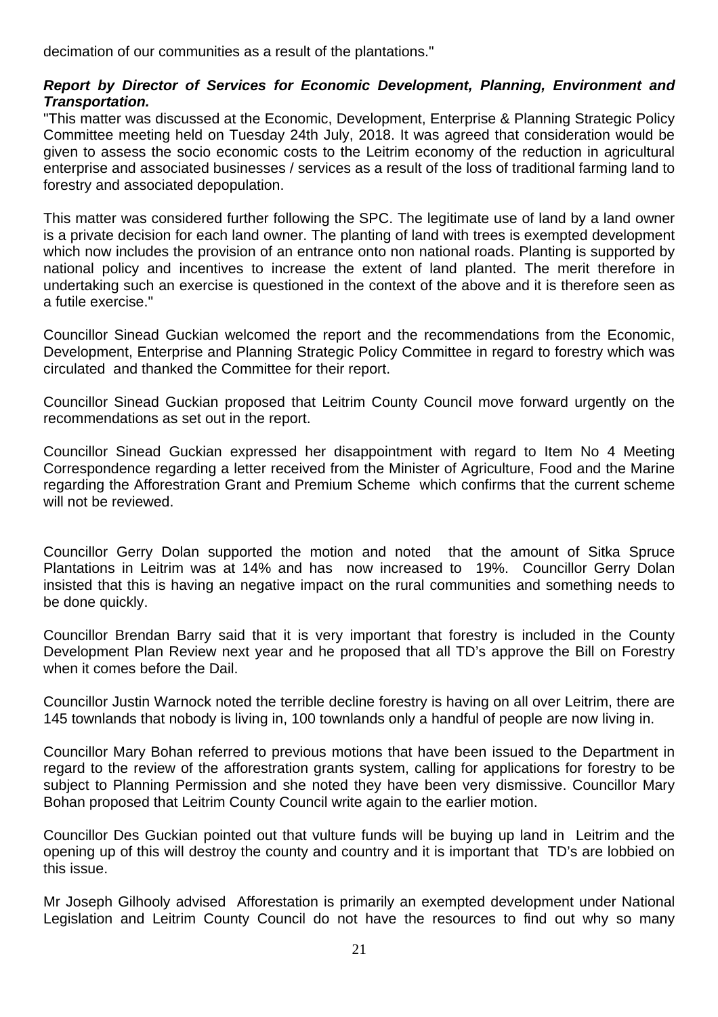decimation of our communities as a result of the plantations."

#### *Report by Director of Services for Economic Development, Planning, Environment and Transportation.*

"This matter was discussed at the Economic, Development, Enterprise & Planning Strategic Policy Committee meeting held on Tuesday 24th July, 2018. It was agreed that consideration would be given to assess the socio economic costs to the Leitrim economy of the reduction in agricultural enterprise and associated businesses / services as a result of the loss of traditional farming land to forestry and associated depopulation.

This matter was considered further following the SPC. The legitimate use of land by a land owner is a private decision for each land owner. The planting of land with trees is exempted development which now includes the provision of an entrance onto non national roads. Planting is supported by national policy and incentives to increase the extent of land planted. The merit therefore in undertaking such an exercise is questioned in the context of the above and it is therefore seen as a futile exercise."

Councillor Sinead Guckian welcomed the report and the recommendations from the Economic, Development, Enterprise and Planning Strategic Policy Committee in regard to forestry which was circulated and thanked the Committee for their report.

Councillor Sinead Guckian proposed that Leitrim County Council move forward urgently on the recommendations as set out in the report.

Councillor Sinead Guckian expressed her disappointment with regard to Item No 4 Meeting Correspondence regarding a letter received from the Minister of Agriculture, Food and the Marine regarding the Afforestration Grant and Premium Scheme which confirms that the current scheme will not be reviewed.

Councillor Gerry Dolan supported the motion and noted that the amount of Sitka Spruce Plantations in Leitrim was at 14% and has now increased to 19%. Councillor Gerry Dolan insisted that this is having an negative impact on the rural communities and something needs to be done quickly.

Councillor Brendan Barry said that it is very important that forestry is included in the County Development Plan Review next year and he proposed that all TD's approve the Bill on Forestry when it comes before the Dail.

Councillor Justin Warnock noted the terrible decline forestry is having on all over Leitrim, there are 145 townlands that nobody is living in, 100 townlands only a handful of people are now living in.

Councillor Mary Bohan referred to previous motions that have been issued to the Department in regard to the review of the afforestration grants system, calling for applications for forestry to be subject to Planning Permission and she noted they have been very dismissive. Councillor Mary Bohan proposed that Leitrim County Council write again to the earlier motion.

Councillor Des Guckian pointed out that vulture funds will be buying up land in Leitrim and the opening up of this will destroy the county and country and it is important that TD's are lobbied on this issue.

Mr Joseph Gilhooly advised Afforestation is primarily an exempted development under National Legislation and Leitrim County Council do not have the resources to find out why so many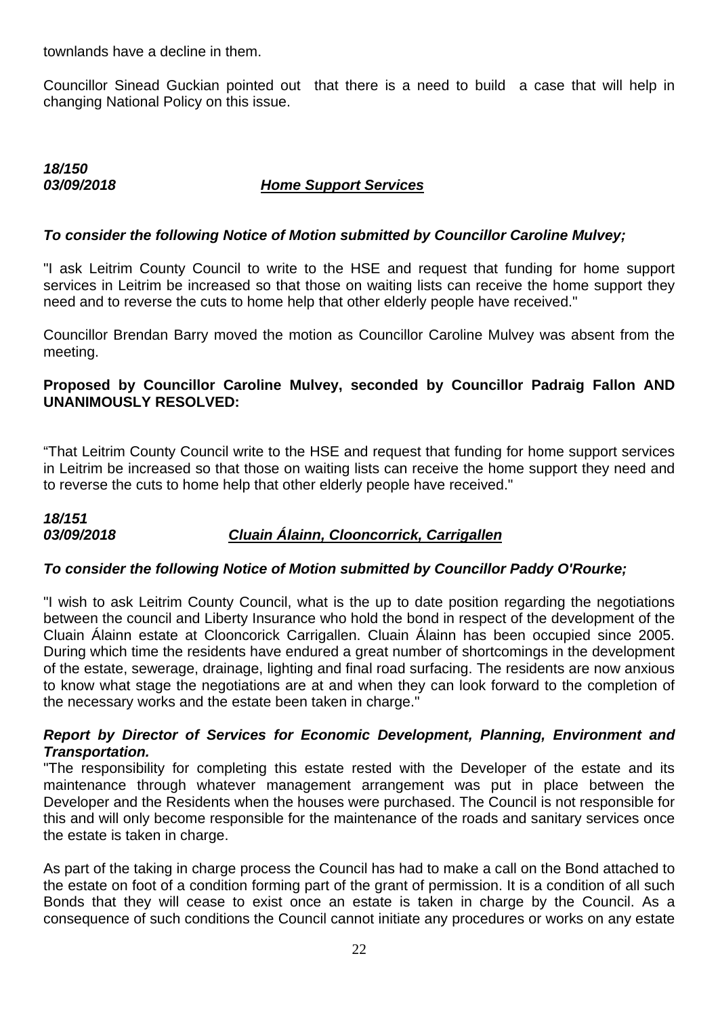townlands have a decline in them.

Councillor Sinead Guckian pointed out that there is a need to build a case that will help in changing National Policy on this issue.

## *18/150*

## *03/09/2018 Home Support Services*

## *To consider the following Notice of Motion submitted by Councillor Caroline Mulvey;*

"I ask Leitrim County Council to write to the HSE and request that funding for home support services in Leitrim be increased so that those on waiting lists can receive the home support they need and to reverse the cuts to home help that other elderly people have received."

Councillor Brendan Barry moved the motion as Councillor Caroline Mulvey was absent from the meeting.

## **Proposed by Councillor Caroline Mulvey, seconded by Councillor Padraig Fallon AND UNANIMOUSLY RESOLVED:**

"That Leitrim County Council write to the HSE and request that funding for home support services in Leitrim be increased so that those on waiting lists can receive the home support they need and to reverse the cuts to home help that other elderly people have received."

## *18/151 03/09/2018 Cluain Álainn, Clooncorrick, Carrigallen*

## *To consider the following Notice of Motion submitted by Councillor Paddy O'Rourke;*

"I wish to ask Leitrim County Council, what is the up to date position regarding the negotiations between the council and Liberty Insurance who hold the bond in respect of the development of the Cluain Álainn estate at Clooncorick Carrigallen. Cluain Álainn has been occupied since 2005. During which time the residents have endured a great number of shortcomings in the development of the estate, sewerage, drainage, lighting and final road surfacing. The residents are now anxious to know what stage the negotiations are at and when they can look forward to the completion of the necessary works and the estate been taken in charge."

#### *Report by Director of Services for Economic Development, Planning, Environment and Transportation.*

"The responsibility for completing this estate rested with the Developer of the estate and its maintenance through whatever management arrangement was put in place between the Developer and the Residents when the houses were purchased. The Council is not responsible for this and will only become responsible for the maintenance of the roads and sanitary services once the estate is taken in charge.

As part of the taking in charge process the Council has had to make a call on the Bond attached to the estate on foot of a condition forming part of the grant of permission. It is a condition of all such Bonds that they will cease to exist once an estate is taken in charge by the Council. As a consequence of such conditions the Council cannot initiate any procedures or works on any estate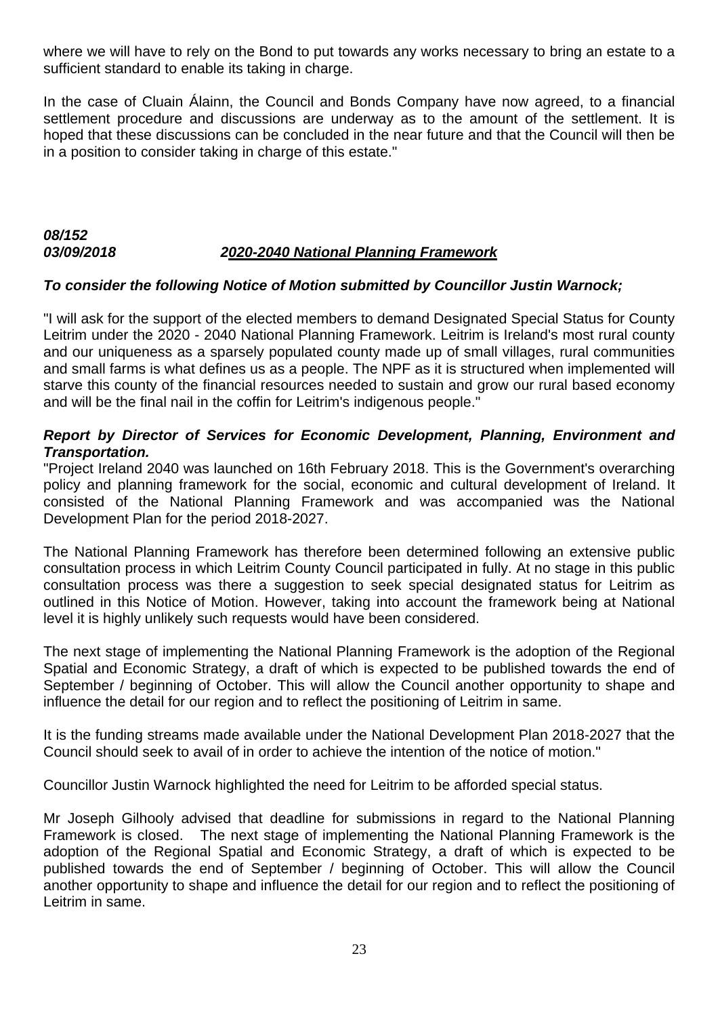where we will have to rely on the Bond to put towards any works necessary to bring an estate to a sufficient standard to enable its taking in charge.

In the case of Cluain Álainn, the Council and Bonds Company have now agreed, to a financial settlement procedure and discussions are underway as to the amount of the settlement. It is hoped that these discussions can be concluded in the near future and that the Council will then be in a position to consider taking in charge of this estate."

## *08/152 03/09/2018 2020-2040 National Planning Framework*

## *To consider the following Notice of Motion submitted by Councillor Justin Warnock;*

"I will ask for the support of the elected members to demand Designated Special Status for County Leitrim under the 2020 - 2040 National Planning Framework. Leitrim is Ireland's most rural county and our uniqueness as a sparsely populated county made up of small villages, rural communities and small farms is what defines us as a people. The NPF as it is structured when implemented will starve this county of the financial resources needed to sustain and grow our rural based economy and will be the final nail in the coffin for Leitrim's indigenous people."

## *Report by Director of Services for Economic Development, Planning, Environment and Transportation.*

"Project Ireland 2040 was launched on 16th February 2018. This is the Government's overarching policy and planning framework for the social, economic and cultural development of Ireland. It consisted of the National Planning Framework and was accompanied was the National Development Plan for the period 2018-2027.

The National Planning Framework has therefore been determined following an extensive public consultation process in which Leitrim County Council participated in fully. At no stage in this public consultation process was there a suggestion to seek special designated status for Leitrim as outlined in this Notice of Motion. However, taking into account the framework being at National level it is highly unlikely such requests would have been considered.

The next stage of implementing the National Planning Framework is the adoption of the Regional Spatial and Economic Strategy, a draft of which is expected to be published towards the end of September / beginning of October. This will allow the Council another opportunity to shape and influence the detail for our region and to reflect the positioning of Leitrim in same.

It is the funding streams made available under the National Development Plan 2018-2027 that the Council should seek to avail of in order to achieve the intention of the notice of motion."

Councillor Justin Warnock highlighted the need for Leitrim to be afforded special status.

Mr Joseph Gilhooly advised that deadline for submissions in regard to the National Planning Framework is closed. The next stage of implementing the National Planning Framework is the adoption of the Regional Spatial and Economic Strategy, a draft of which is expected to be published towards the end of September / beginning of October. This will allow the Council another opportunity to shape and influence the detail for our region and to reflect the positioning of Leitrim in same.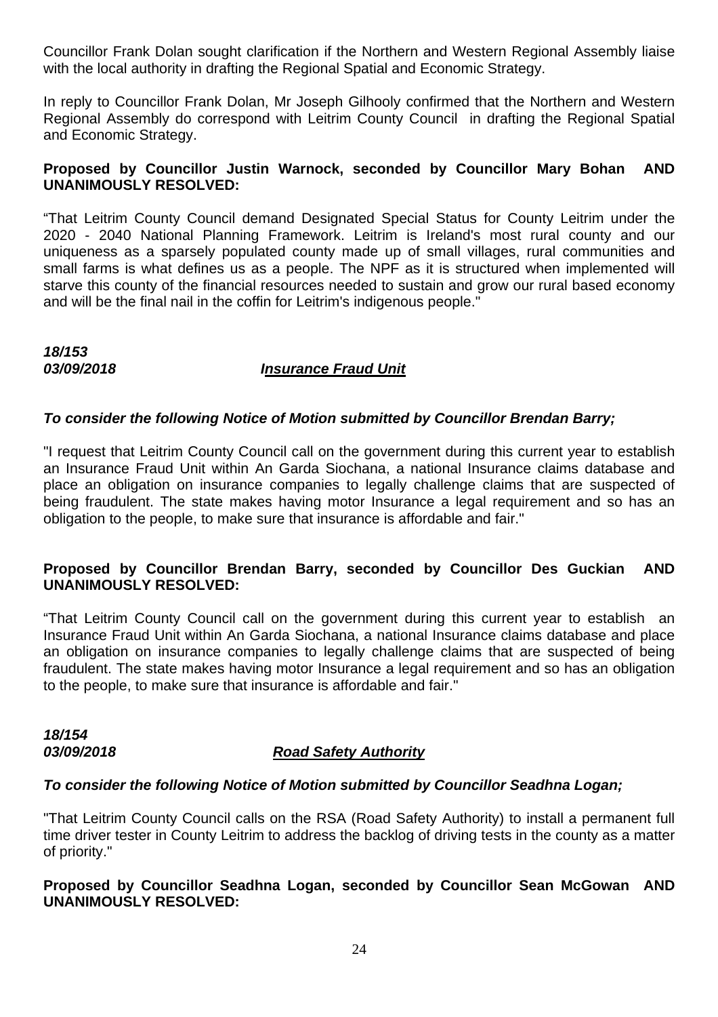Councillor Frank Dolan sought clarification if the Northern and Western Regional Assembly liaise with the local authority in drafting the Regional Spatial and Economic Strategy.

In reply to Councillor Frank Dolan, Mr Joseph Gilhooly confirmed that the Northern and Western Regional Assembly do correspond with Leitrim County Council in drafting the Regional Spatial and Economic Strategy.

#### **Proposed by Councillor Justin Warnock, seconded by Councillor Mary Bohan AND UNANIMOUSLY RESOLVED:**

"That Leitrim County Council demand Designated Special Status for County Leitrim under the 2020 - 2040 National Planning Framework. Leitrim is Ireland's most rural county and our uniqueness as a sparsely populated county made up of small villages, rural communities and small farms is what defines us as a people. The NPF as it is structured when implemented will starve this county of the financial resources needed to sustain and grow our rural based economy and will be the final nail in the coffin for Leitrim's indigenous people."

*18/153* 

## *03/09/2018 Insurance Fraud Unit*

## *To consider the following Notice of Motion submitted by Councillor Brendan Barry;*

"I request that Leitrim County Council call on the government during this current year to establish an Insurance Fraud Unit within An Garda Siochana, a national Insurance claims database and place an obligation on insurance companies to legally challenge claims that are suspected of being fraudulent. The state makes having motor Insurance a legal requirement and so has an obligation to the people, to make sure that insurance is affordable and fair."

## **Proposed by Councillor Brendan Barry, seconded by Councillor Des Guckian AND UNANIMOUSLY RESOLVED:**

"That Leitrim County Council call on the government during this current year to establish an Insurance Fraud Unit within An Garda Siochana, a national Insurance claims database and place an obligation on insurance companies to legally challenge claims that are suspected of being fraudulent. The state makes having motor Insurance a legal requirement and so has an obligation to the people, to make sure that insurance is affordable and fair."

*18/154* 

## *03/09/2018 Road Safety Authority*

#### *To consider the following Notice of Motion submitted by Councillor Seadhna Logan;*

"That Leitrim County Council calls on the RSA (Road Safety Authority) to install a permanent full time driver tester in County Leitrim to address the backlog of driving tests in the county as a matter of priority."

#### **Proposed by Councillor Seadhna Logan, seconded by Councillor Sean McGowan AND UNANIMOUSLY RESOLVED:**